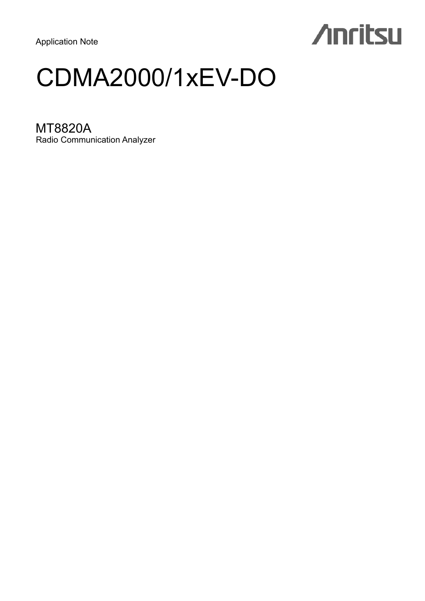Application Note

# **Anritsu**

## CDMA2000/1xEV-DO

MT8820A Radio Communication Analyzer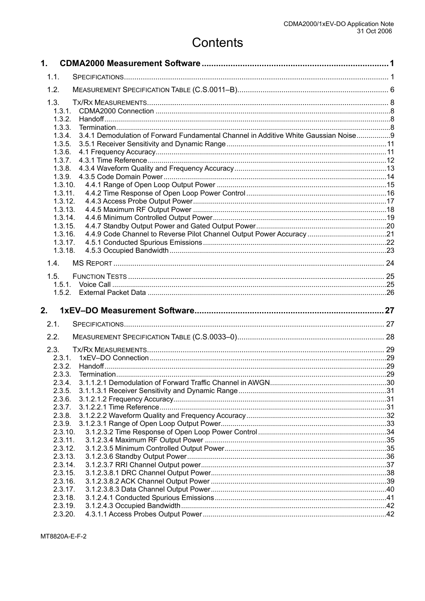## Contents

| $\mathbf 1$ .      |                                                                                     |     |
|--------------------|-------------------------------------------------------------------------------------|-----|
| 1.1.               |                                                                                     |     |
| 1.2.               |                                                                                     |     |
| 1.3.               |                                                                                     |     |
| 1.3.1.             |                                                                                     |     |
| 1.3.2.             |                                                                                     |     |
| 1.3.3.             |                                                                                     |     |
| 1.3.4.             | 3.4.1 Demodulation of Forward Fundamental Channel in Additive White Gaussian Noise9 |     |
| 1.3.5.             |                                                                                     |     |
| 1.3.6.             |                                                                                     |     |
| 1.3.7.<br>1.3.8.   |                                                                                     |     |
| 1.3.9.             |                                                                                     |     |
| 1.3.10.            |                                                                                     |     |
| 1.3.11.            |                                                                                     |     |
| 1.3.12.            |                                                                                     |     |
| 1.3.13.            |                                                                                     |     |
| 1.3.14.<br>1.3.15. |                                                                                     |     |
| 1.3.16.            |                                                                                     |     |
| 1.3.17.            |                                                                                     |     |
| 1.3.18.            |                                                                                     |     |
| 1.4.               |                                                                                     |     |
| 1.5.               |                                                                                     |     |
| 1.5.1.             |                                                                                     |     |
|                    |                                                                                     |     |
|                    |                                                                                     |     |
| 2.                 |                                                                                     |     |
| 2.1.               |                                                                                     |     |
| 2.2.               |                                                                                     |     |
| 2.3.               |                                                                                     |     |
| 2.3.1.             |                                                                                     |     |
| 2.3.2.             |                                                                                     |     |
| 2.3.3.             | Termination                                                                         | .29 |
| 2.3.4.             |                                                                                     |     |
| 2.3.5.             |                                                                                     |     |
| 2.3.6.<br>2.3.7.   |                                                                                     |     |
| 2.3.8.             |                                                                                     |     |
| 2.3.9.             |                                                                                     |     |
| 2.3.10.            |                                                                                     |     |
| 2.3.11.            |                                                                                     |     |
| 2.3.12.            |                                                                                     |     |
| 2.3.13.            |                                                                                     |     |
| 2.3.14.<br>2.3.15. |                                                                                     |     |
| 2.3.16.            |                                                                                     |     |
| 2.3.17.            |                                                                                     |     |
|                    |                                                                                     |     |
| 2.3.18.            |                                                                                     |     |
| 2.3.19.<br>2.3.20. |                                                                                     |     |

MT8820A-E-F-2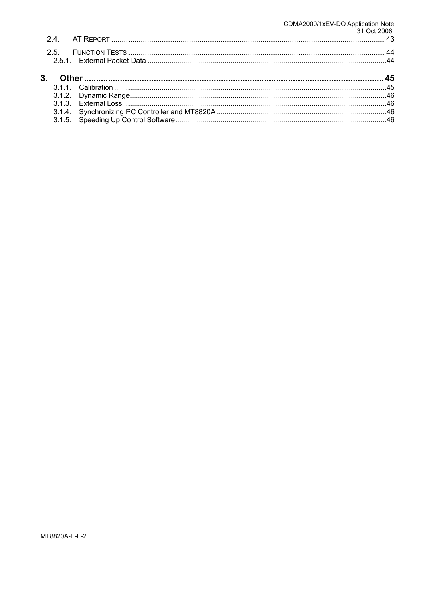## CDMA2000/1xEV-DO Application Note<br>31 Oct 2006 43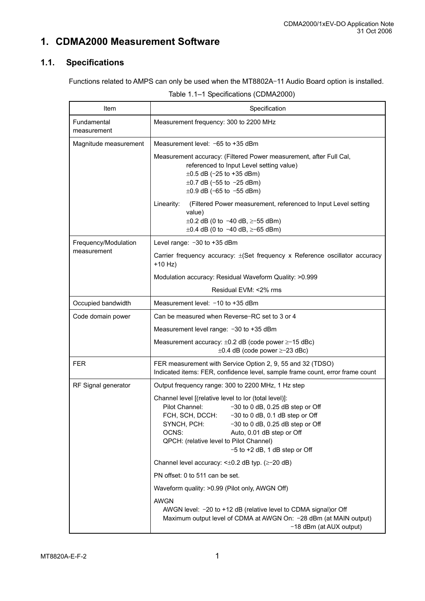## **1. CDMA2000 Measurement Software**

## **1.1. Specifications**

Functions related to AMPS can only be used when the MT8802A–11 Audio Board option is installed.

| Table 1.1-1 Specifications (CDMA2000) |                                                                                                                                                                                                                                                                                                                                                |  |  |  |
|---------------------------------------|------------------------------------------------------------------------------------------------------------------------------------------------------------------------------------------------------------------------------------------------------------------------------------------------------------------------------------------------|--|--|--|
| Item                                  | Specification                                                                                                                                                                                                                                                                                                                                  |  |  |  |
| Fundamental<br>measurement            | Measurement frequency: 300 to 2200 MHz                                                                                                                                                                                                                                                                                                         |  |  |  |
| Magnitude measurement                 | Measurement level: $-65$ to $+35$ dBm                                                                                                                                                                                                                                                                                                          |  |  |  |
|                                       | Measurement accuracy: (Filtered Power measurement, after Full Cal,<br>referenced to Input Level setting value)<br>$\pm 0.5$ dB (-25 to +35 dBm)<br>$\pm 0.7$ dB (-55 to -25 dBm)<br>$\pm 0.9$ dB (-65 to -55 dBm)                                                                                                                              |  |  |  |
|                                       | Linearity:<br>(Filtered Power measurement, referenced to Input Level setting<br>value)<br>$\pm 0.2$ dB (0 to -40 dB, $\ge$ -55 dBm)<br>$\pm 0.4$ dB (0 to -40 dB, $\ge$ -65 dBm)                                                                                                                                                               |  |  |  |
| Frequency/Modulation                  | Level range: -30 to +35 dBm                                                                                                                                                                                                                                                                                                                    |  |  |  |
| measurement                           | Carrier frequency accuracy: ±(Set frequency x Reference oscillator accuracy<br>$+10$ Hz)                                                                                                                                                                                                                                                       |  |  |  |
|                                       | Modulation accuracy: Residual Waveform Quality: >0.999                                                                                                                                                                                                                                                                                         |  |  |  |
|                                       | Residual EVM: <2% rms                                                                                                                                                                                                                                                                                                                          |  |  |  |
| Occupied bandwidth                    | Measurement level: -10 to +35 dBm                                                                                                                                                                                                                                                                                                              |  |  |  |
| Code domain power                     | Can be measured when Reverse-RC set to 3 or 4                                                                                                                                                                                                                                                                                                  |  |  |  |
|                                       | Measurement level range: -30 to +35 dBm                                                                                                                                                                                                                                                                                                        |  |  |  |
|                                       | Measurement accuracy: $\pm 0.2$ dB (code power $\geq -15$ dBc)<br>$\pm 0.4$ dB (code power $\ge -23$ dBc)                                                                                                                                                                                                                                      |  |  |  |
| FER                                   | FER measurement with Service Option 2, 9, 55 and 32 (TDSO)<br>Indicated items: FER, confidence level, sample frame count, error frame count                                                                                                                                                                                                    |  |  |  |
| RF Signal generator                   | Output frequency range: 300 to 2200 MHz, 1 Hz step                                                                                                                                                                                                                                                                                             |  |  |  |
|                                       | Channel level [(relative level to lor (total level)]:<br>Pilot Channel:<br>$-30$ to 0 dB, 0.25 dB step or Off<br>-30 to 0 dB, 0.1 dB step or Off<br>FCH, SCH, DCCH:<br>SYNCH, PCH:<br>$-30$ to 0 dB, 0.25 dB step or Off<br>OCNS:<br>Auto, 0.01 dB step or Off<br>QPCH: (relative level to Pilot Channel)<br>$-5$ to $+2$ dB, 1 dB step or Off |  |  |  |

Channel level accuracy: <±0.2 dB typ. (≥–20 dB)

Waveform quality: >0.99 (Pilot only, AWGN Off)

AWGN level: –20 to +12 dB (relative level to CDMA signal)or Off

Maximum output level of CDMA at AWGN On: –28 dBm (at MAIN output)

–18 dBm (at AUX output)

PN offset: 0 to 511 can be set.

AWGN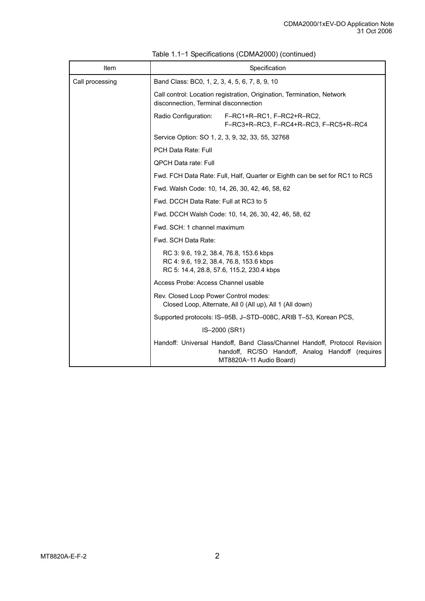| Item            | Specification                                                                                                                                            |  |  |  |
|-----------------|----------------------------------------------------------------------------------------------------------------------------------------------------------|--|--|--|
| Call processing | Band Class: BC0, 1, 2, 3, 4, 5, 6, 7, 8, 9, 10                                                                                                           |  |  |  |
|                 | Call control: Location registration, Origination, Termination, Network<br>disconnection, Terminal disconnection                                          |  |  |  |
|                 | Radio Configuration:<br>F-RC1+R-RC1, F-RC2+R-RC2,<br>F-RC3+R-RC3, F-RC4+R-RC3, F-RC5+R-RC4                                                               |  |  |  |
|                 | Service Option: SO 1, 2, 3, 9, 32, 33, 55, 32768                                                                                                         |  |  |  |
|                 | <b>PCH Data Rate: Full</b>                                                                                                                               |  |  |  |
|                 | <b>QPCH Data rate: Full</b>                                                                                                                              |  |  |  |
|                 | Fwd. FCH Data Rate: Full, Half, Quarter or Eighth can be set for RC1 to RC5                                                                              |  |  |  |
|                 | Fwd. Walsh Code: 10, 14, 26, 30, 42, 46, 58, 62                                                                                                          |  |  |  |
|                 | Fwd. DCCH Data Rate: Full at RC3 to 5                                                                                                                    |  |  |  |
|                 | Fwd. DCCH Walsh Code: 10, 14, 26, 30, 42, 46, 58, 62                                                                                                     |  |  |  |
|                 | Fwd. SCH: 1 channel maximum                                                                                                                              |  |  |  |
|                 | Fwd. SCH Data Rate:                                                                                                                                      |  |  |  |
|                 | RC 3: 9.6, 19.2, 38.4, 76.8, 153.6 kbps<br>RC 4: 9.6, 19.2, 38.4, 76.8, 153.6 kbps<br>RC 5: 14.4, 28.8, 57.6, 115.2, 230.4 kbps                          |  |  |  |
|                 | Access Probe: Access Channel usable                                                                                                                      |  |  |  |
|                 | Rev. Closed Loop Power Control modes:<br>Closed Loop, Alternate, All 0 (All up), All 1 (All down)                                                        |  |  |  |
|                 | Supported protocols: IS-95B, J-STD-008C, ARIB T-53, Korean PCS,                                                                                          |  |  |  |
|                 | IS-2000 (SR1)                                                                                                                                            |  |  |  |
|                 | Handoff: Universal Handoff, Band Class/Channel Handoff, Protocol Revision<br>handoff, RC/SO Handoff, Analog Handoff (requires<br>MT8820A-11 Audio Board) |  |  |  |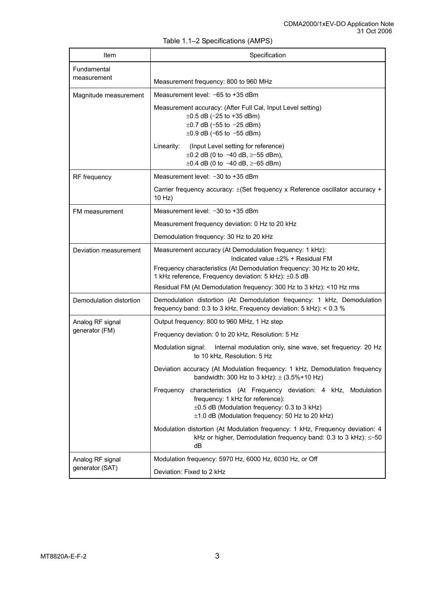| Item                       | Specification                                                                                                                                                                                                         |  |  |  |
|----------------------------|-----------------------------------------------------------------------------------------------------------------------------------------------------------------------------------------------------------------------|--|--|--|
| Fundamental<br>measurement | Measurement frequency: 800 to 960 MHz                                                                                                                                                                                 |  |  |  |
| Magnitude measurement      | Measurement level: -65 to +35 dBm                                                                                                                                                                                     |  |  |  |
|                            | Measurement accuracy: (After Full Cal, Input Level setting)<br>$\pm 0.5$ dB (-25 to +35 dBm)<br>$\pm 0.7$ dB (-55 to -25 dBm)<br>$\pm 0.9$ dB (-65 to -55 dBm)                                                        |  |  |  |
|                            | (Input Level setting for reference)<br>Linearity:<br>$\pm 0.2$ dB (0 to -40 dB, $\ge$ -55 dBm),<br>$\pm 0.4$ dB (0 to -40 dB, $\ge$ -65 dBm)                                                                          |  |  |  |
| RF frequency               | Measurement level: -30 to +35 dBm                                                                                                                                                                                     |  |  |  |
|                            | Carrier frequency accuracy: $\pm$ (Set frequency x Reference oscillator accuracy +<br>$10$ Hz)                                                                                                                        |  |  |  |
| FM measurement             | Measurement level: -30 to +35 dBm                                                                                                                                                                                     |  |  |  |
|                            | Measurement frequency deviation: 0 Hz to 20 kHz                                                                                                                                                                       |  |  |  |
|                            | Demodulation frequency: 30 Hz to 20 kHz                                                                                                                                                                               |  |  |  |
| Deviation measurement      | Measurement accuracy (At Demodulation frequency: 1 kHz):<br>Indicated value $\pm 2\%$ + Residual FM                                                                                                                   |  |  |  |
|                            | Frequency characteristics (At Demodulation frequency: 30 Hz to 20 kHz,<br>1 kHz reference, Frequency deviation: 5 kHz): ±0.5 dB                                                                                       |  |  |  |
|                            | Residual FM (At Demodulation frequency: 300 Hz to 3 kHz): <10 Hz rms                                                                                                                                                  |  |  |  |
| Demodulation distortion    | Demodulation distortion (At Demodulation frequency: 1 kHz, Demodulation<br>frequency band: 0.3 to 3 kHz, Frequency deviation: 5 kHz): < 0.3 %                                                                         |  |  |  |
| Analog RF signal           | Output frequency: 800 to 960 MHz, 1 Hz step                                                                                                                                                                           |  |  |  |
| generator (FM)             | Frequency deviation: 0 to 20 kHz, Resolution: 5 Hz                                                                                                                                                                    |  |  |  |
|                            | Modulation signal:<br>Internal modulation only, sine wave, set frequency: 20 Hz<br>to 10 kHz, Resolution: 5 Hz                                                                                                        |  |  |  |
|                            | Deviation accuracy (At Modulation frequency: 1 kHz, Demodulation frequency<br>bandwidth: 300 Hz to 3 kHz): $\pm$ (3.5%+10 Hz)                                                                                         |  |  |  |
|                            | Frequency characteristics (At Frequency deviation: 4 kHz, Modulation<br>frequency: 1 kHz for reference):<br>$\pm 0.5$ dB (Modulation frequency: 0.3 to 3 kHz)<br>$\pm$ 1.0 dB (Modulation frequency: 50 Hz to 20 kHz) |  |  |  |
|                            | Modulation distortion (At Modulation frequency: 1 kHz, Frequency deviation: 4<br>kHz or higher, Demodulation frequency band: 0.3 to 3 kHz): $\leq$ -50<br>dB                                                          |  |  |  |
| Analog RF signal           | Modulation frequency: 5970 Hz, 6000 Hz, 6030 Hz, or Off                                                                                                                                                               |  |  |  |
| generator (SAT)            | Deviation: Fixed to 2 kHz                                                                                                                                                                                             |  |  |  |

Table 1.1–2 Specifications (AMPS)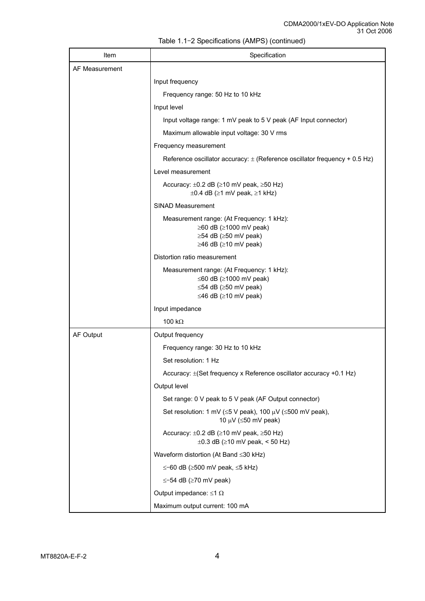| Item           | Specification                                                                                                                                 |  |  |  |
|----------------|-----------------------------------------------------------------------------------------------------------------------------------------------|--|--|--|
| AF Measurement |                                                                                                                                               |  |  |  |
|                | Input frequency                                                                                                                               |  |  |  |
|                | Frequency range: 50 Hz to 10 kHz                                                                                                              |  |  |  |
|                | Input level                                                                                                                                   |  |  |  |
|                | Input voltage range: 1 mV peak to 5 V peak (AF Input connector)                                                                               |  |  |  |
|                | Maximum allowable input voltage: 30 V rms                                                                                                     |  |  |  |
|                | Frequency measurement                                                                                                                         |  |  |  |
|                | Reference oscillator accuracy: $\pm$ (Reference oscillator frequency + 0.5 Hz)                                                                |  |  |  |
|                | Level measurement                                                                                                                             |  |  |  |
|                | Accuracy: $\pm 0.2$ dB ( $\geq 10$ mV peak, $\geq 50$ Hz)<br>$\pm 0.4$ dB ( $\geq 1$ mV peak, $\geq 1$ kHz)                                   |  |  |  |
|                | SINAD Measurement                                                                                                                             |  |  |  |
|                | Measurement range: (At Frequency: 1 kHz):<br>$\geq$ 60 dB ( $\geq$ 1000 mV peak)<br>$\geq$ 54 dB ( $\geq$ 50 mV peak)<br>≥46 dB (≥10 mV peak) |  |  |  |
|                | Distortion ratio measurement                                                                                                                  |  |  |  |
|                | Measurement range: (At Frequency: 1 kHz):<br>$\leq 60$ dB ( $\geq 1000$ mV peak)<br>≤54 dB ( $≥$ 50 mV peak)<br>≤46 dB ( $≥$ 10 mV peak)      |  |  |  |
|                | Input impedance                                                                                                                               |  |  |  |
|                | 100 k $\Omega$                                                                                                                                |  |  |  |
| AF Output      | Output frequency                                                                                                                              |  |  |  |
|                | Frequency range: 30 Hz to 10 kHz                                                                                                              |  |  |  |
|                | Set resolution: 1 Hz                                                                                                                          |  |  |  |
|                | Accuracy: ±(Set frequency x Reference oscillator accuracy +0.1 Hz)                                                                            |  |  |  |
|                | Output level                                                                                                                                  |  |  |  |
|                | Set range: 0 V peak to 5 V peak (AF Output connector)                                                                                         |  |  |  |
|                | Set resolution: 1 mV ( $\leq$ 5 V peak), 100 µV ( $\leq$ 500 mV peak),<br>10 $\mu$ V ( $\leq$ 50 mV peak)                                     |  |  |  |
|                | Accuracy: $\pm 0.2$ dB ( $\geq 10$ mV peak, $\geq 50$ Hz)<br>$\pm 0.3$ dB ( $\geq 10$ mV peak, < 50 Hz)                                       |  |  |  |
|                | Waveform distortion (At Band ≤30 kHz)                                                                                                         |  |  |  |
|                | $\le$ -60 dB ( $\ge$ 500 mV peak, $\le$ 5 kHz)                                                                                                |  |  |  |
|                | $\le$ -54 dB ( $\ge$ 70 mV peak)                                                                                                              |  |  |  |
|                | Output impedance: $\leq 1 \Omega$                                                                                                             |  |  |  |
|                | Maximum output current: 100 mA                                                                                                                |  |  |  |

Table 1.1–2 Specifications (AMPS) (continued)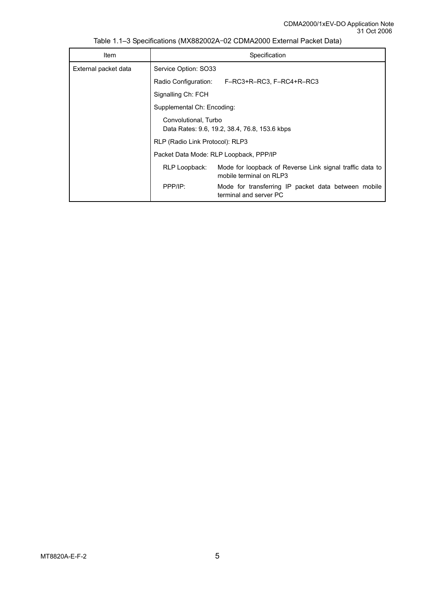| Item                 | Specification                                                                                        |                                                                               |  |  |  |
|----------------------|------------------------------------------------------------------------------------------------------|-------------------------------------------------------------------------------|--|--|--|
| External packet data | Service Option: SO33                                                                                 |                                                                               |  |  |  |
|                      | Radio Configuration:                                                                                 | F–RC3+R–RC3, F–RC4+R–RC3                                                      |  |  |  |
|                      | Signalling Ch: FCH                                                                                   |                                                                               |  |  |  |
|                      | Supplemental Ch: Encoding:                                                                           |                                                                               |  |  |  |
|                      | Convolutional, Turbo<br>Data Rates: 9.6, 19.2, 38.4, 76.8, 153.6 kbps                                |                                                                               |  |  |  |
|                      | RLP (Radio Link Protocol): RLP3                                                                      |                                                                               |  |  |  |
|                      | Packet Data Mode: RLP Loopback, PPP/IP                                                               |                                                                               |  |  |  |
|                      | Mode for loopback of Reverse Link signal traffic data to<br>RLP Loopback:<br>mobile terminal on RLP3 |                                                                               |  |  |  |
|                      | PPP/IP:                                                                                              | Mode for transferring IP packet data between mobile<br>terminal and server PC |  |  |  |

Table 1.1–3 Specifications (MX882002A–02 CDMA2000 External Packet Data)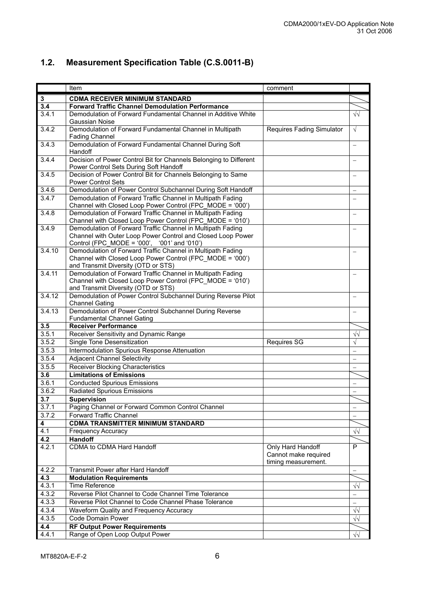|  | 1.2. Measurement Specification Table (C.S.0011-B) |  |  |  |
|--|---------------------------------------------------|--|--|--|
|--|---------------------------------------------------|--|--|--|

|                | Item                                                                                                                     | comment                                   |                          |
|----------------|--------------------------------------------------------------------------------------------------------------------------|-------------------------------------------|--------------------------|
| $\mathbf 3$    | <b>CDMA RECEIVER MINIMUM STANDARD</b>                                                                                    |                                           |                          |
| 3.4            | <b>Forward Traffic Channel Demodulation Performance</b>                                                                  |                                           |                          |
| 3.4.1          | Demodulation of Forward Fundamental Channel in Additive White                                                            |                                           | $\sqrt{2}$               |
|                | Gaussian Noise                                                                                                           |                                           |                          |
| 3.4.2          | Demodulation of Forward Fundamental Channel in Multipath                                                                 | <b>Requires Fading Simulator</b>          | $\sqrt{ }$               |
|                | <b>Fading Channel</b>                                                                                                    |                                           |                          |
| 3.4.3          | Demodulation of Forward Fundamental Channel During Soft                                                                  |                                           |                          |
|                | Handoff                                                                                                                  |                                           |                          |
| 3.4.4          | Decision of Power Control Bit for Channels Belonging to Different                                                        |                                           |                          |
|                | Power Control Sets During Soft Handoff                                                                                   |                                           |                          |
| 3.4.5          | Decision of Power Control Bit for Channels Belonging to Same                                                             |                                           |                          |
|                | <b>Power Control Sets</b>                                                                                                |                                           |                          |
| 3.4.6          | Demodulation of Power Control Subchannel During Soft Handoff                                                             |                                           | $\overline{\phantom{m}}$ |
| 3.4.7          | Demodulation of Forward Traffic Channel in Multipath Fading                                                              |                                           |                          |
| 3.4.8          | Channel with Closed Loop Power Control (FPC_MODE = '000')<br>Demodulation of Forward Traffic Channel in Multipath Fading |                                           |                          |
|                | Channel with Closed Loop Power Control (FPC MODE = '010')                                                                |                                           |                          |
| 3.4.9          | Demodulation of Forward Traffic Channel in Multipath Fading                                                              |                                           | $\equiv$                 |
|                | Channel with Outer Loop Power Control and Closed Loop Power                                                              |                                           |                          |
|                | Control (FPC_MODE = $\dot{0}00'$ , '001' and '010')                                                                      |                                           |                          |
| 3.4.10         | Demodulation of Forward Traffic Channel in Multipath Fading                                                              |                                           |                          |
|                | Channel with Closed Loop Power Control (FPC MODE = '000')                                                                |                                           |                          |
|                | and Transmit Diversity (OTD or STS)                                                                                      |                                           |                          |
| 3.4.11         | Demodulation of Forward Traffic Channel in Multipath Fading                                                              |                                           |                          |
|                | Channel with Closed Loop Power Control (FPC MODE = '010')                                                                |                                           |                          |
|                | and Transmit Diversity (OTD or STS)                                                                                      |                                           |                          |
| 3.4.12         | Demodulation of Power Control Subchannel During Reverse Pilot                                                            |                                           | $\overline{\phantom{0}}$ |
|                | <b>Channel Gating</b>                                                                                                    |                                           |                          |
| 3.4.13         | Demodulation of Power Control Subchannel During Reverse                                                                  |                                           |                          |
| 3.5            | <b>Fundamental Channel Gating</b><br><b>Receiver Performance</b>                                                         |                                           |                          |
| 3.5.1          |                                                                                                                          |                                           | $\sqrt{2}$               |
| 3.5.2          | Receiver Sensitivity and Dynamic Range<br>Single Tone Desensitization                                                    | <b>Requires SG</b>                        | V                        |
| 3.5.3          | Intermodulation Spurious Response Attenuation                                                                            |                                           |                          |
|                |                                                                                                                          |                                           |                          |
| 3.5.4<br>3.5.5 | <b>Adjacent Channel Selectivity</b>                                                                                      |                                           |                          |
|                | <b>Receiver Blocking Characteristics</b>                                                                                 |                                           |                          |
| 3.6<br>3.6.1   | <b>Limitations of Emissions</b><br><b>Conducted Spurious Emissions</b>                                                   |                                           |                          |
|                |                                                                                                                          |                                           | $\overline{\phantom{0}}$ |
| 3.6.2          | <b>Radiated Spurious Emissions</b>                                                                                       |                                           | $\overline{\phantom{m}}$ |
| 3.7            | <b>Supervision</b>                                                                                                       |                                           |                          |
| 3.7.1<br>3.7.2 | Paging Channel or Forward Common Control Channel<br><b>Forward Traffic Channel</b>                                       |                                           |                          |
|                |                                                                                                                          |                                           |                          |
| 4              | <b>CDMA TRANSMITTER MINIMUM STANDARD</b>                                                                                 |                                           |                          |
| 4.1            | Frequency Accuracy                                                                                                       |                                           | $\sqrt{2}$               |
| 4.2<br>4.2.1   | <b>Handoff</b><br><b>CDMA to CDMA Hard Handoff</b>                                                                       |                                           | P                        |
|                |                                                                                                                          | Only Hard Handoff<br>Cannot make required |                          |
|                |                                                                                                                          | timing measurement.                       |                          |
| 4.2.2          | Transmit Power after Hard Handoff                                                                                        |                                           |                          |
| 4.3            | <b>Modulation Requirements</b>                                                                                           |                                           |                          |
| 4.3.1          | <b>Time Reference</b>                                                                                                    |                                           | $\sqrt{v}$               |
| 4.3.2          | Reverse Pilot Channel to Code Channel Time Tolerance                                                                     |                                           | $\overline{\phantom{0}}$ |
| 4.3.3          | Reverse Pilot Channel to Code Channel Phase Tolerance                                                                    |                                           |                          |
| 4.3.4          | Waveform Quality and Frequency Accuracy                                                                                  |                                           |                          |
| 4.3.5          | <b>Code Domain Power</b>                                                                                                 |                                           | $\sqrt{2}$<br>$\sqrt{2}$ |
| 4.4            | <b>RF Output Power Requirements</b>                                                                                      |                                           |                          |
| 4.4.1          | Range of Open Loop Output Power                                                                                          |                                           |                          |
|                |                                                                                                                          |                                           | $\sqrt{2}$               |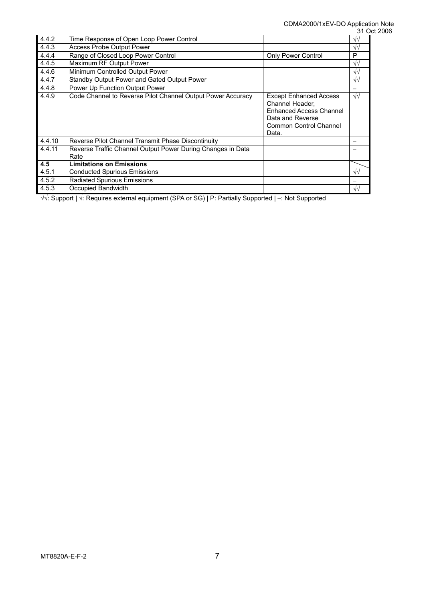|        |                                                                     |                                                                                                                                           | ، ر               |
|--------|---------------------------------------------------------------------|-------------------------------------------------------------------------------------------------------------------------------------------|-------------------|
| 4.4.2  | Time Response of Open Loop Power Control                            |                                                                                                                                           | $\sqrt{2}$        |
| 4.4.3  | <b>Access Probe Output Power</b>                                    |                                                                                                                                           | $\sqrt{2}$        |
| 4.4.4  | Range of Closed Loop Power Control                                  | <b>Only Power Control</b>                                                                                                                 | P                 |
| 4.4.5  | Maximum RF Output Power                                             |                                                                                                                                           | $\sqrt{2}$        |
| 4.4.6  | Minimum Controlled Output Power                                     |                                                                                                                                           | $\sqrt{2}$        |
| 4.4.7  | Standby Output Power and Gated Output Power                         |                                                                                                                                           | $\sqrt{2}$        |
| 4.4.8  | Power Up Function Output Power                                      |                                                                                                                                           |                   |
| 4.4.9  | Code Channel to Reverse Pilot Channel Output Power Accuracy         | <b>Except Enhanced Access</b><br>Channel Header,<br><b>Enhanced Access Channel</b><br>Data and Reverse<br>Common Control Channel<br>Data. | $\sqrt{\sqrt{2}}$ |
| 4.4.10 | Reverse Pilot Channel Transmit Phase Discontinuity                  |                                                                                                                                           |                   |
| 4.4.11 | Reverse Traffic Channel Output Power During Changes in Data<br>Rate |                                                                                                                                           |                   |
| 4.5    | <b>Limitations on Emissions</b>                                     |                                                                                                                                           |                   |
| 4.5.1  | <b>Conducted Spurious Emissions</b>                                 |                                                                                                                                           | $\sqrt{v}$        |
| 4.5.2  | <b>Radiated Spurious Emissions</b>                                  |                                                                                                                                           |                   |
| 4.5.3  | Occupied Bandwidth                                                  |                                                                                                                                           | $\sqrt{2}$        |

√√: Support | √: Requires external equipment (SPA or SG) | P: Partially Supported | −: Not Supported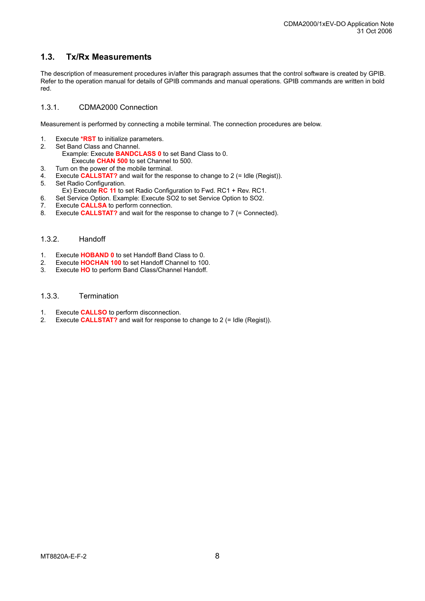### **1.3. Tx/Rx Measurements**

The description of measurement procedures in/after this paragraph assumes that the control software is created by GPIB. Refer to the operation manual for details of GPIB commands and manual operations. GPIB commands are written in bold red.

#### 1.3.1. CDMA2000 Connection

Measurement is performed by connecting a mobile terminal. The connection procedures are below.

- 1. Execute **\*RST** to initialize parameters.<br>2. Set Band Class and Channel.
- Set Band Class and Channel.
	- Example: Execute **BANDCLASS 0** to set Band Class to 0.
	- Execute **CHAN 500** to set Channel to 500.
- 3. Turn on the power of the mobile terminal.
- 4. Execute **CALLSTAT?** and wait for the response to change to 2 (= Idle (Regist)).
- 5. Set Radio Configuration.
- Ex) Execute **RC 11** to set Radio Configuration to Fwd. RC1 + Rev. RC1.
- 6. Set Service Option. Example: Execute SO2 to set Service Option to SO2.
- 7. Execute **CALLSA** to perform connection.
- 8. Execute **CALLSTAT?** and wait for the response to change to 7 (= Connected).

#### 1.3.2. Handoff

- 1. Execute **HOBAND 0** to set Handoff Band Class to 0.
- 2. Execute **HOCHAN 100** to set Handoff Channel to 100.
- 3. Execute **HO** to perform Band Class/Channel Handoff.

#### 1.3.3. Termination

- 1. Execute **CALLSO** to perform disconnection.
- 2. Execute **CALLSTAT?** and wait for response to change to 2 (= Idle (Regist)).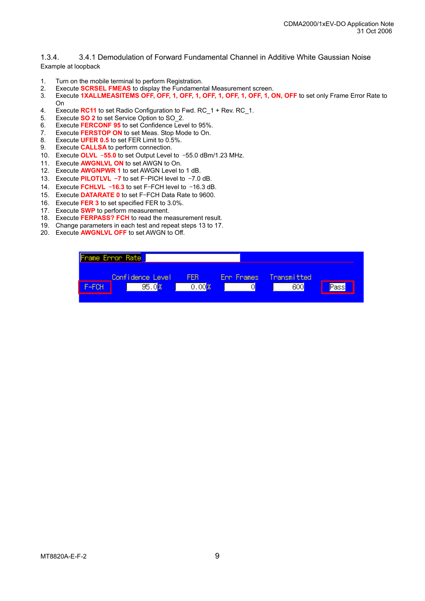1.3.4. 3.4.1 Demodulation of Forward Fundamental Channel in Additive White Gaussian Noise Example at loopback

- 1. Turn on the mobile terminal to perform Registration.
- 2. Execute **SCRSEL FMEAS** to display the Fundamental Measurement screen.
- 3. Execute **1XALLMEASITEMS OFF, OFF, 1, OFF, 1, OFF, 1, OFF, 1, OFF, 1, ON, OFF** to set only Frame Error Rate to On
- 4. Execute **RC11** to set Radio Configuration to Fwd. RC\_1 + Rev. RC\_1.
- 5. Execute **SO 2** to set Service Option to SO\_2.
- 6. Execute **FERCONF 95** to set Confidence Level to 95%.
- 7. Execute **FERSTOP ON** to set Meas. Stop Mode to On.
- 8. Execute **UFER 0.5** to set FER Limit to 0.5%.
- 9. Execute **CALLSA** to perform connection.
- 10. Execute **OLVL** –**55.0** to set Output Level to –55.0 dBm/1.23 MHz.
- 11. Execute **AWGNLVL ON** to set AWGN to On.
- 12. Execute **AWGNPWR 1** to set AWGN Level to 1 dB.
- 13. Execute **PILOTLVL** –**7** to set F–PICH level to –7.0 dB.
- 14. Execute **FCHLVL** –**16.3** to set F–FCH level to –16.3 dB.
- 15. Execute **DATARATE 0** to set F–FCH Data Rate to 9600.
- 16. Execute **FER 3** to set specified FER to 3.0%.
- 17. Execute **SWP** to perform measurement.
- 18. Execute **FERPASS? FCH** to read the measurement result.
- 19. Change parameters in each test and repeat steps 13 to 17.
- 20. Execute **AWGNLVL OFF** to set AWGN to Off.

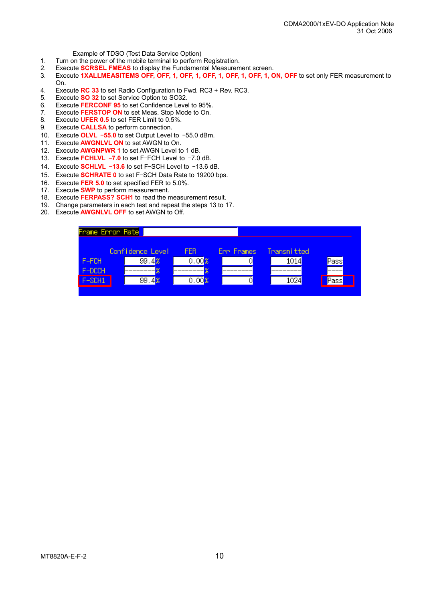Example of TDSO (Test Data Service Option)<br>Turn on the nower of the mobile terminal to perform

- Turn on the power of the mobile terminal to perform Registration.
- 2. Execute **SCRSEL FMEAS** to display the Fundamental Measurement screen.
- 3. Execute **1XALLMEASITEMS OFF, OFF, 1, OFF, 1, OFF, 1, OFF, 1, OFF, 1, ON, OFF** to set only FER measurement to On.
- 4. Execute **RC 33** to set Radio Configuration to Fwd. RC3 + Rev. RC3.
- 5. Execute **SO 32** to set Service Option to SO32.
- 6. Execute **FERCONF 95** to set Confidence Level to 95%.
- 7. Execute **FERSTOP ON** to set Meas. Stop Mode to On.
- 8. Execute **UFER 0.5** to set FER Limit to 0.5%.
- 9. Execute **CALLSA** to perform connection.
- 10. Execute **OLVL** –**55.0** to set Output Level to –55.0 dBm.
- 11. Execute **AWGNLVL ON** to set AWGN to On.
- 12. Execute **AWGNPWR 1** to set AWGN Level to 1 dB.
- 13. Execute **FCHLVL** –**7.0** to set F–FCH Level to –7.0 dB.
- 14. Execute **SCHLVL** –**13.6** to set F–SCH Level to –13.6 dB.
- 15. Execute **SCHRATE 0** to set F–SCH Data Rate to 19200 bps.
- 16. Execute **FER 5.0** to set specified FER to 5.0%.
- 17. Execute **SWP** to perform measurement.
- 18. Execute **FERPASS? SCH1** to read the measurement result.
- 19. Change parameters in each test and repeat the steps 13 to 17.
- 20. Execute **AWGNLVL OFF** to set AWGN to Off.

| Frame Error Rate <mark>l</mark> |                  |       |            |             |      |
|---------------------------------|------------------|-------|------------|-------------|------|
|                                 | Confidence Level | FFR.  | Enn Frames | Transmitted |      |
| F-FCH                           | 99.48            | 0.008 |            | 1014        | Pass |
| F-DCCH                          |                  | 8     |            |             |      |
| F-SCH1                          | 99.48            | 0.008 |            | 1024        | Pass |
|                                 |                  |       |            |             |      |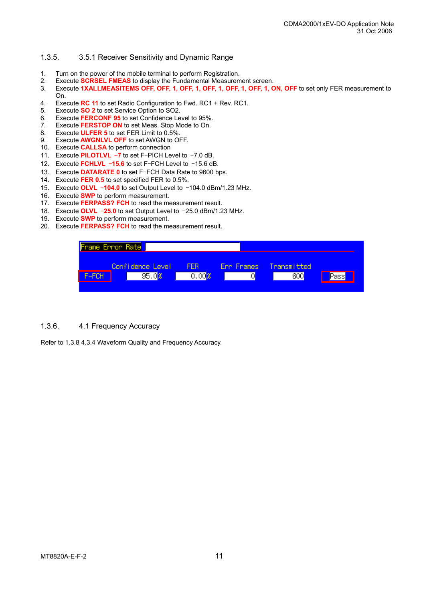#### 1.3.5. 3.5.1 Receiver Sensitivity and Dynamic Range

- 1. Turn on the power of the mobile terminal to perform Registration.
- 2. Execute **SCRSEL FMEAS** to display the Fundamental Measurement screen.
- 3. Execute **1XALLMEASITEMS OFF, OFF, 1, OFF, 1, OFF, 1, OFF, 1, OFF, 1, ON, OFF** to set only FER measurement to On.
- 4. Execute **RC 11** to set Radio Configuration to Fwd. RC1 + Rev. RC1.
- 5. Execute **SO 2** to set Service Option to SO2.
- 6. Execute **FERCONF 95** to set Confidence Level to 95%.
- 7. Execute **FERSTOP ON** to set Meas. Stop Mode to On.
- 8. Execute **ULFER 5** to set FER Limit to 0.5%.
- 9. Execute **AWGNLVL OFF** to set AWGN to OFF.
- 10. Execute **CALLSA** to perform connection
- 11. Execute **PILOTLVL** –**7** to set F–PICH Level to –7.0 dB.
- 12. Execute **FCHLVL** –**15.6** to set F–FCH Level to –15.6 dB.
- 13. Execute **DATARATE 0** to set F–FCH Data Rate to 9600 bps.
- 14. Execute **FER 0.5** to set specified FER to 0.5%.
- 15. Execute **OLVL** –**104.0** to set Output Level to –104.0 dBm/1.23 MHz.
- 16. Execute **SWP** to perform measurement.
- 17. Execute **FERPASS? FCH** to read the measurement result.
- 18. Execute **OLVL** –**25.0** to set Output Level to –25.0 dBm/1.23 MHz.
- 19. Execute **SWP** to perform measurement.
- 20. Execute **FERPASS? FCH** to read the measurement result.

|       | Frame Error Rate |       |                    |                   |             |       |
|-------|------------------|-------|--------------------|-------------------|-------------|-------|
|       | Confidence Level |       | FFR.               | <b>Err Frames</b> | Transmitted |       |
| F-FCH |                  | 95.08 | .00 <mark>9</mark> |                   | 600         | Passi |
|       |                  |       |                    |                   |             |       |

#### 1.3.6. 4.1 Frequency Accuracy

Refer to 1.3.8 4.3.4 Waveform Quality and Frequency Accuracy.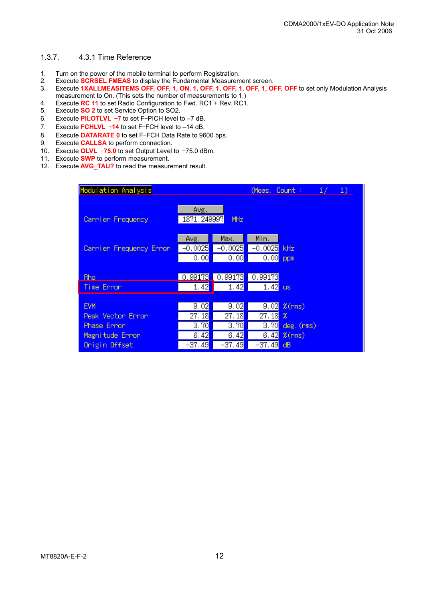#### 1.3.7. 4.3.1 Time Reference

- 1. Turn on the power of the mobile terminal to perform Registration.
- 2. Execute **SCRSEL FMEAS** to display the Fundamental Measurement screen.
- 3. Execute **1XALLMEASITEMS OFF, OFF, 1, ON, 1, OFF, 1, OFF, 1, OFF, 1, OFF, OFF** to set only Modulation Analysis measurement to On. (This sets the number of measurements to 1.)
- 4. Execute **RC 11** to set Radio Configuration to Fwd. RC1 + Rev. RC1.
- 5. Execute **SO 2** to set Service Option to SO2.
- 6. Execute **PILOTLVL** –**7** to set F–PICH level to –7 dB.
- 7. Execute **FCHLVL** –**14** to set F–FCH level to –14 dB.
- 8. Execute **DATARATE 0** to set F–FCH Data Rate to 9600 bps.
- 9. Execute **CALLSA** to perform connection.
- 10. Execute **OLVL** –**75.0** to set Output Level to –75.0 dBm.
- 11. Execute **SWP** to perform measurement.
- 12. Execute **AVG\_TAU?** to read the measurement result.

| Modulation Analysis              |                               |                               | (Meas, Count :                | $\left( \frac{1}{2} \right)$<br>$\frac{1}{2}$ |
|----------------------------------|-------------------------------|-------------------------------|-------------------------------|-----------------------------------------------|
| Cannier Frequency                | Avg.<br>1871.249997           | <b>MHz</b>                    |                               |                                               |
| Cannier Frequency Error          | Avg.<br>$-0.0025$<br>0.00     | Max.<br>$-0.0025$<br>0.00     | Min.<br>$-0.0025$<br>0.00     | kHz.<br>ppm                                   |
| <b>Rho</b><br>Time Error         | 0.99173<br>1.42               | $\boxed{0.99173}$<br>1.42     | 0.99173<br>1.42               | <b>us</b>                                     |
| <b>EVM</b>                       | 9.02                          | 9.02                          | 9.02                          | $%$ (rms)                                     |
| Peak Vector Error<br>Phase Error | 27.18 <mark>.</mark><br>3.70  | 27.18<br>3.70                 | 27.18<br>3.70                 | x<br>$deg.$ $(rms)$                           |
| Magnitude Error<br>Origin Offset | 6.42<br>−37.49 <mark>1</mark> | 6.42<br>−37.49 <mark>1</mark> | 6.42<br>–37.49 <mark>.</mark> | $%$ (rms)<br>dB                               |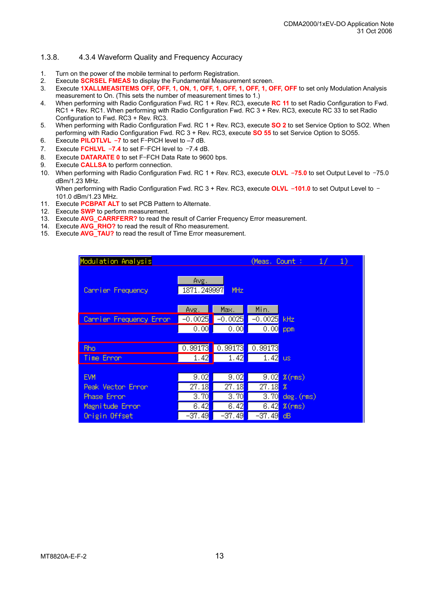#### 1.3.8. 4.3.4 Waveform Quality and Frequency Accuracy

- 1. Turn on the power of the mobile terminal to perform Registration.
- 2. Execute **SCRSEL FMEAS** to display the Fundamental Measurement screen.
- 3. Execute **1XALLMEASITEMS OFF, OFF, 1, ON, 1, OFF, 1, OFF, 1, OFF, 1, OFF, OFF** to set only Modulation Analysis measurement to On. (This sets the number of measurement times to 1.)
- 4. When performing with Radio Configuration Fwd. RC 1 + Rev. RC3, execute **RC 11** to set Radio Configuration to Fwd. RC1 + Rev. RC1. When performing with Radio Configuration Fwd. RC 3 + Rev. RC3, execute RC 33 to set Radio Configuration to Fwd. RC3 + Rev. RC3.
- 5. When performing with Radio Configuration Fwd. RC 1 + Rev. RC3, execute **SO 2** to set Service Option to SO2. When performing with Radio Configuration Fwd. RC 3 + Rev. RC3, execute **SO 55** to set Service Option to SO55.
- 6. Execute **PILOTLVL** –**7** to set F–PICH level to –7 dB.
- 7. Execute **FCHLVL** –**7.4** to set F–FCH level to –7.4 dB.
- 8. Execute **DATARATE 0** to set F–FCH Data Rate to 9600 bps.
- 9. Execute **CALLSA** to perform connection.
- 10. When performing with Radio Configuration Fwd. RC 1 + Rev. RC3, execute **OLVL** –**75.0** to set Output Level to –75.0 dBm/1.23 MHz.

When performing with Radio Configuration Fwd. RC 3 + Rev. RC3, execute **OLVL** –**101.0** to set Output Level to – 101.0 dBm/1.23 MHz.

- 11. Execute **PCBPAT ALT** to set PCB Pattern to Alternate.
- 12. Execute **SWP** to perform measurement.
- 13. Execute AVG CARRFERR? to read the result of Carrier Frequency Error measurement.
- 14. Execute **AVG\_RHO?** to read the result of Rho measurement.
- 15. Execute **AVG\_TAU?** to read the result of Time Error measurement.

| Modulation Analysis     |                      | (Meas, Count : International<br>$\frac{1}{2}$<br>$\left( \frac{1}{2} \right)$ |                       |                  |
|-------------------------|----------------------|-------------------------------------------------------------------------------|-----------------------|------------------|
| Cannien Frequency       | Avg.<br>1871.249997  | MHz                                                                           |                       |                  |
|                         | Avg.                 | Max.                                                                          | Min.                  |                  |
| Cannier Frequency Ennon | $-0.0025$            | $-0.0025$                                                                     | $-0.0025$             | kHz              |
|                         | 0.00                 | 0.00                                                                          | 0.00                  | ppm              |
|                         |                      |                                                                               |                       |                  |
| <b>Rho</b>              | 0.99173              | 0.99173                                                                       | 0.99173               |                  |
| Time Error              | 1.42                 | 1.42                                                                          | 1.42                  | <b>US</b>        |
|                         |                      |                                                                               |                       |                  |
| <b>EVM</b>              | 9.02                 | 9.02                                                                          | 9.02                  | $%$ (rms)        |
| Peak Vector Error       | 27.18 <mark>.</mark> | $\overline{27.18}$                                                            | $\overline{27.18}$    | $\mathbf{x}$     |
| Phase Error             | 3.70                 | $\overline{3.70}$                                                             | 3.70                  | $deg.$ ( $rms$ ) |
| Magnitude Error         | 6.42                 | 6.42                                                                          | 6.42                  | $%$ (rms)        |
| Origin Offset           | $-37.49$             | $-37.49$                                                                      | −37.49 <mark>1</mark> | dB               |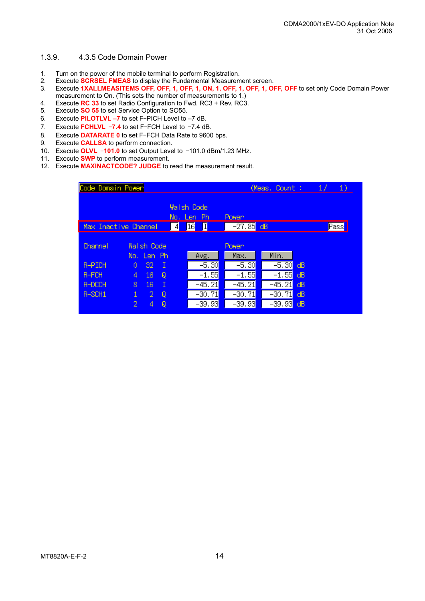#### 1.3.9. 4.3.5 Code Domain Power

- 1. Turn on the power of the mobile terminal to perform Registration.
- 2. Execute **SCRSEL FMEAS** to display the Fundamental Measurement screen.
- 3. Execute **1XALLMEASITEMS OFF, OFF, 1, OFF, 1, ON, 1, OFF, 1, OFF, 1, OFF, OFF** to set only Code Domain Power measurement to On. (This sets the number of measurements to 1.)
- 4. Execute **RC 33** to set Radio Configuration to Fwd. RC3 + Rev. RC3.
- 5. Execute **SO 55** to set Service Option to SO55.
- 6. Execute **PILOTLVL –7** to set F–PICH Level to –7 dB.
- 7. Execute **FCHLVL** –**7.4** to set F–FCH Level to –7.4 dB.
- 8. Execute **DATARATE 0** to set F–FCH Data Rate to 9600 bps.
- 9. Execute **CALLSA** to perform connection.
- 10. Execute **OLVL** –**101.0** to set Output Level to –101.0 dBm/1.23 MHz.
- 11. Execute **SWP** to perform measurement.
- 12. Execute **MAXINACTCODE? JUDGE** to read the measurement result.

| Code Domain Power    |              |                   |     |                 |                                 | (Meas, Count :        |          | 1/ | 1)                  |  |
|----------------------|--------------|-------------------|-----|-----------------|---------------------------------|-----------------------|----------|----|---------------------|--|
|                      |              |                   |     | No.             | <b>Walsh Code</b><br>Ph<br>Len. | Power                 |          |    |                     |  |
| Max Inactive Channel |              |                   |     | $\vert 4 \vert$ | 16 <br>I                        | $-27.85$              | dB       |    | <mark>∕</mark> Pass |  |
| <b>Channel</b>       |              | <b>Walsh Code</b> |     |                 |                                 | Power <sub></sub>     |          |    |                     |  |
|                      |              | No. Len Ph        |     |                 | Avg.                            | Max.                  | Min.     |    |                     |  |
| R-PICH               | 0            | 32                | - 1 |                 | $-5.30$                         | $-5.30$               | $-5.30$  | dB |                     |  |
| R-FCH                | 4            | 16.               | Q   |                 | $-1.55$                         | $-1.55$               | $-1.55$  | dB |                     |  |
| R-DCCH               | 8            | 16.               | Ι   |                 | $-45.21$                        | $-45.21$              | $-45.21$ | dВ |                     |  |
| R-SCH1               | $\mathbf{1}$ | 2.                | Q   |                 | $-30.71$                        | -30.71 <mark>)</mark> | $-30.71$ | dВ |                     |  |
|                      | 2            | 4                 | Q   |                 | $-39.93$                        | $-39.93$              | $-39.93$ | dB |                     |  |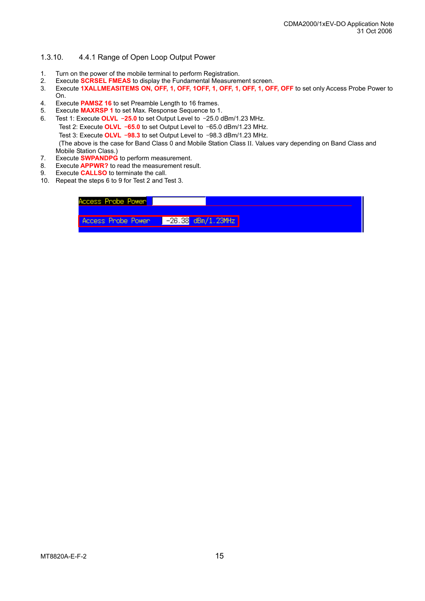#### 1.3.10. 4.4.1 Range of Open Loop Output Power

- 1. Turn on the power of the mobile terminal to perform Registration.
- 2. Execute **SCRSEL FMEAS** to display the Fundamental Measurement screen.
- 3. Execute 1XALLMEASITEMS ON, OFF, 1, OFF, 10FF, 1, OFF, 1, OFF, 1, OFF, OFF to set only Access Probe Power to On.
- 4. Execute **PAMSZ 16** to set Preamble Length to 16 frames.
- 5. Execute **MAXRSP 1** to set Max. Response Sequence to 1.
- 6. Test 1: Execute **OLVL** –**25.0** to set Output Level to –25.0 dBm/1.23 MHz. Test 2: Execute **OLVL** –**65.0** to set Output Level to –65.0 dBm/1.23 MHz. Test 3: Execute **OLVL** –**98.3** to set Output Level to –98.3 dBm/1.23 MHz. (The above is the case for Band Class 0 and Mobile Station Class ΙΙ. Values vary depending on Band Class and Mobile Station Class.)
- 7. Execute **SWPANDPG** to perform measurement.
- 8. Execute **APPWR?** to read the measurement result.
- 9. Execute **CALLSO** to terminate the call.
- 10. Repeat the steps 6 to 9 for Test 2 and Test 3.

| Access Probe Power                         |
|--------------------------------------------|
| $-26.38$ dBm/1.23MHz<br>Access Probe Power |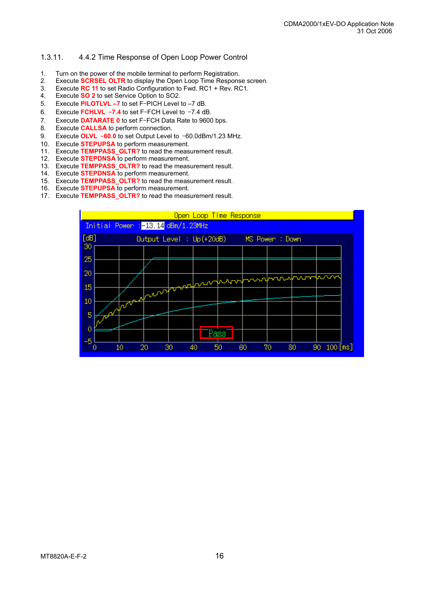#### 1.3.11. 4.4.2 Time Response of Open Loop Power Control

- 1. Turn on the power of the mobile terminal to perform Registration.
- 2. Execute **SCRSEL OLTR** to display the Open Loop Time Response screen.
- 3. Execute **RC 11** to set Radio Configuration to Fwd. RC1 + Rev. RC1.
- 4. Execute **SO 2** to set Service Option to SO2.
- 5. Execute **PILOTLVL –7** to set F–PICH Level to –7 dB.
- 6. Execute **FCHLVL** –**7.4** to set F–FCH Level to –7.4 dB.
- 7. Execute **DATARATE 0** to set F–FCH Data Rate to 9600 bps.
- 8. Execute **CALLSA** to perform connection.
- 9. Execute **OLVL** –**60.0** to set Output Level to –60.0dBm/1.23 MHz.
- 10. Execute **STEPUPSA** to perform measurement.
- 11. Execute **TEMPPASS\_OLTR?** to read the measurement result.
- 12. Execute **STEPDNSA** to perform measurement.
- 13. Execute **TEMPPASS\_OLTR?** to read the measurement result.
- 14. Execute **STEPDNSA** to perform measurement.
- 15. Execute **TEMPPASS\_OLTR?** to read the measurement result.
- 16. Execute **STEPUPSA** to perform measurement.
- 17. Execute **TEMPPASS\_OLTR?** to read the measurement result.

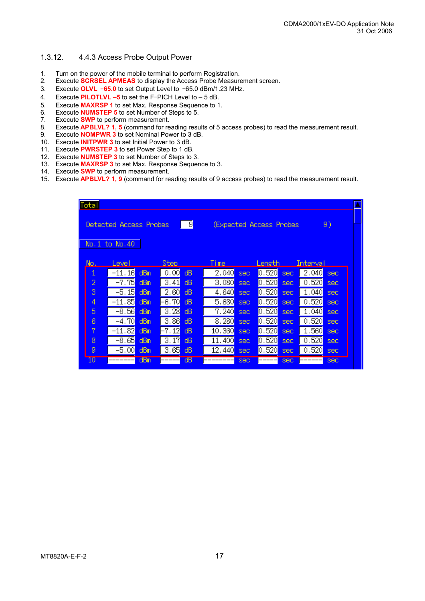#### 1.3.12. 4.4.3 Access Probe Output Power

- 1. Turn on the power of the mobile terminal to perform Registration.
- 2. Execute **SCRSEL APMEAS** to display the Access Probe Measurement screen.
- 3. Execute **OLVL** –**65.0** to set Output Level to –65.0 dBm/1.23 MHz.
- 4. Execute **PILOTLVL –5** to set the F–PICH Level to 5 dB.
- 5. Execute **MAXRSP 1** to set Max. Response Sequence to 1.
- 6. Execute **NUMSTEP 5** to set Number of Steps to 5.
- 7. Execute **SWP** to perform measurement.
- 8. Execute **APBLVL? 1, 5** (command for reading results of 5 access probes) to read the measurement result.
- 9. Execute **NOMPWR 3** to set Nominal Power to 3 dB.
- 10. Execute **INITPWR 3** to set Initial Power to 3 dB.
- 11. Execute **PWRSTEP 3** to set Power Step to 1 dB.
- 12. Execute **NUMSTEP 3** to set Number of Steps to 3.
- 13. Execute **MAXRSP 3** to set Max. Response Sequence to 3.
- 14. Execute **SWP** to perform measurement.
- 15. Execute **APBLVL? 1, 9** (command for reading results of 9 access probes) to read the measurement result.

| Total                                                              |                      |     |                      |     |                       |            |                       |      |                      |            | ۸ |
|--------------------------------------------------------------------|----------------------|-----|----------------------|-----|-----------------------|------------|-----------------------|------|----------------------|------------|---|
| $\Box$<br>Detected Access Probes<br>(Expected Access Probes)<br>9) |                      |     |                      |     |                       |            |                       |      |                      |            |   |
|                                                                    |                      |     |                      |     |                       |            |                       |      |                      |            |   |
|                                                                    | No. 1 to No. 40      |     |                      |     |                       |            |                       |      |                      |            |   |
| No.                                                                | Level                |     | Sten.                |     | Time                  |            | Length                |      | Interval             |            |   |
| 1                                                                  | $-11.16$             | dBm | 0.00                 | dB  | 2,040                 | sec.       | 0.520                 | sec. | 2.040                | sec        |   |
| $\overline{2}$                                                     | $-7.75$              | dBm | 3.41                 | dB. | 3.080 <mark>1</mark>  | sec.       | IO.520 <mark>I</mark> | sec. | 0.520                | <b>SEC</b> |   |
| 3                                                                  | $-5.15$              | dBm | 2.60                 | dВ  | 4.640 <mark>1</mark>  | sec.       | [0.520]               | sec. | 1.040                | sec        |   |
| 4                                                                  | $-11.85$             | dBm | -6.70 <mark>.</mark> | dВ  | 5.680 <mark>.</mark>  | sec.       | [0.520]               | sec. | 0.520                | sec        |   |
| 5                                                                  | -8.56 <mark>1</mark> | dBm | 3.28                 | dB. | 7.240 <mark>1</mark>  | sec.       | l0.520 <mark>l</mark> | sec. | 1.040 <mark>.</mark> | sec        |   |
| 6                                                                  | $-4.70$              | dBm | 3.86                 | dВ  | 8.280                 | sec.       | l0.520 <mark>.</mark> | sec. | 0.520                | sec        |   |
| 7                                                                  | $-11.82$             | dBm | -7.12 <mark>1</mark> | ďВ  | 10.360                | <b>Sec</b> | [0.520]               | sec  | 1.560 <mark>.</mark> | sec.       |   |
| 8                                                                  | $-8.65$              | dBm | 3.17                 | dВ  | 11.400 <mark>1</mark> | sec.       | [0.520]               | sec. | 0.520                | sec        |   |
| 9                                                                  | $-5.00$              | dBm | 3.65                 | dB  | 12.440 <mark>1</mark> | sec.       | [0.520]               | sec. | 0.520                | <b>Sec</b> |   |
| 10                                                                 | -------              | dBm |                      | ďВ  | ------                | sec        |                       | sec. |                      | sec        |   |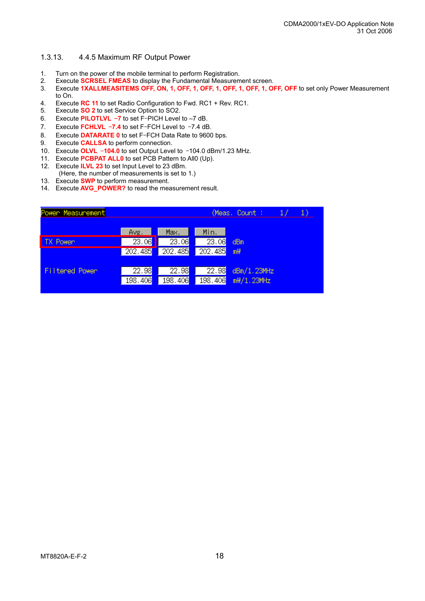#### 1.3.13. 4.4.5 Maximum RF Output Power

- 1. Turn on the power of the mobile terminal to perform Registration.
- 2. Execute **SCRSEL FMEAS** to display the Fundamental Measurement screen.
- 3. Execute **1XALLMEASITEMS OFF, ON, 1, OFF, 1, OFF, 1, OFF, 1, OFF, 1, OFF, OFF** to set only Power Measurement to On.
- 4. Execute **RC 11** to set Radio Configuration to Fwd. RC1 + Rev. RC1.
- 5. Execute **SO 2** to set Service Option to SO2.
- 6. Execute **PILOTLVL** –**7** to set F–PICH Level to –7 dB.
- 7. Execute **FCHLVL** –**7.4** to set F–FCH Level to –7.4 dB.
- 8. Execute **DATARATE 0** to set F–FCH Data Rate to 9600 bps.
- 9. Execute **CALLSA** to perform connection.
- 10. Execute **OLVL** –**104.0** to set Output Level to –104.0 dBm/1.23 MHz.
- 11. Execute **PCBPAT ALL0** to set PCB Pattern to All0 (Up).
- 12. Execute **ILVL 23** to set Input Level to 23 dBm.
- (Here, the number of measurements is set to 1.)
- 13. Execute **SWP** to perform measurement.
- 14. Execute **AVG\_POWER?** to read the measurement result.

| Power Measurement     |                    |                    | (Meas, Count ;<br>17 |                |
|-----------------------|--------------------|--------------------|----------------------|----------------|
|                       |                    |                    |                      |                |
|                       | Avg.               | Max.               | Min.                 |                |
| <b>TX Power</b>       | $\overline{23.06}$ | $\overline{23.06}$ | 23.06                | dBm            |
|                       | 202.485            | 202.485            | 202.485              | m <sup>H</sup> |
|                       |                    |                    |                      |                |
| <b>Filtered Power</b> | 22.98              | 22.98              | 22.98                | dBm/1.23MHz    |
|                       | 198,406            | 198,406            | 198.406              | mW/1.23MHz     |
|                       |                    |                    |                      |                |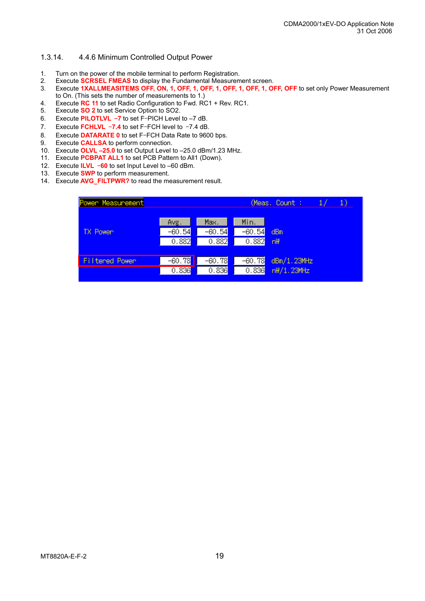#### 1.3.14. 4.4.6 Minimum Controlled Output Power

- 1. Turn on the power of the mobile terminal to perform Registration.
- 2. Execute **SCRSEL FMEAS** to display the Fundamental Measurement screen.
- 3. Execute **1XALLMEASITEMS OFF, ON, 1, OFF, 1, OFF, 1, OFF, 1, OFF, 1, OFF, OFF** to set only Power Measurement to On. (This sets the number of measurements to 1.)
- 4. Execute **RC 11** to set Radio Configuration to Fwd. RC1 + Rev. RC1.
- 5. Execute **SO 2** to set Service Option to SO2.
- 6. Execute **PILOTLVL** –**7** to set F–PICH Level to –7 dB.
- 7. Execute **FCHLVL** –**7.4** to set F–FCH level to –7.4 dB.
- 8. Execute **DATARATE 0** to set F–FCH Data Rate to 9600 bps.
- 9. Execute **CALLSA** to perform connection.
- 10. Execute **OLVL –25.0** to set Output Level to –25.0 dBm/1.23 MHz.
- 11. Execute **PCBPAT ALL1** to set PCB Pattern to All1 (Down).
- 12. Execute **ILVL** –**60** to set Input Level to –60 dBm.
- 13. Execute **SWP** to perform measurement.
- 14. Execute **AVG\_FILTPWR?** to read the measurement result.

| Power Measurement |                           |                           |                                | (Meas, Count ;<br>$\mathbf{1}$ |
|-------------------|---------------------------|---------------------------|--------------------------------|--------------------------------|
| TX Power          | Avg.<br>$-60.54$<br>0.882 | Max.<br>$-60.54$<br>0.882 | Min.<br>$-60.54$<br>0.882      | dBm<br>nH                      |
| Filtered Power    | $-60.78$<br>0.836         | $-60.78$<br>0.836         | -60.78 <mark>.</mark><br>0.836 | dBm/1.23MHz<br>n\/1.23MHz      |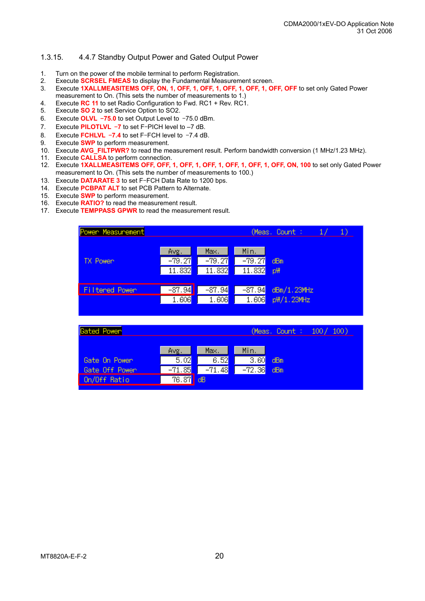#### 1.3.15. 4.4.7 Standby Output Power and Gated Output Power

- 1. Turn on the power of the mobile terminal to perform Registration.
- 2. Execute **SCRSEL FMEAS** to display the Fundamental Measurement screen.
- 3. Execute **1XALLMEASITEMS OFF, ON, 1, OFF, 1, OFF, 1, OFF, 1, OFF, 1, OFF, OFF** to set only Gated Power measurement to On. (This sets the number of measurements to 1.)
- 4. Execute **RC 11** to set Radio Configuration to Fwd. RC1 + Rev. RC1.
- 5. Execute **SO 2** to set Service Option to SO2.
- 6. Execute **OLVL** –**75.0** to set Output Level to –75.0 dBm.
- 7. Execute **PILOTLVL** –**7** to set F–PICH level to –7 dB.
- 8. Execute **FCHLVL** –**7.4** to set F–FCH level to –7.4 dB.
- 9. Execute **SWP** to perform measurement.
- 10. Execute **AVG\_FILTPWR?** to read the measurement result. Perform bandwidth conversion (1 MHz/1.23 MHz).
- 11. Execute **CALLSA** to perform connection.
- 12. Execute **1XALLMEASITEMS OFF, OFF, 1, OFF, 1, OFF, 1, OFF, 1, OFF, 1, OFF, ON, 100** to set only Gated Power measurement to On. (This sets the number of measurements to 100.)
- 13. Execute **DATARATE 3** to set F–FCH Data Rate to 1200 bps.
- 14. Execute **PCBPAT ALT** to set PCB Pattern to Alternate.
- 15. Execute **SWP** to perform measurement.
- 16. Execute **RATIO?** to read the measurement result.
- 17. Execute **TEMPPASS GPWR** to read the measurement result.



| Gated Power    |                    |          |          |     | (Meas, Count : 100/ 100) |
|----------------|--------------------|----------|----------|-----|--------------------------|
|                | Avg.               | Max.     | Min.     |     |                          |
| Gate On Power  | 5.02               | 6.52     | 3.60     | dBm |                          |
| Gate Off Power | $-71.85$           | $-71.48$ | $-72.36$ | dBm |                          |
| On/Off Ratio   | $\overline{76.87}$ | l dB     |          |     |                          |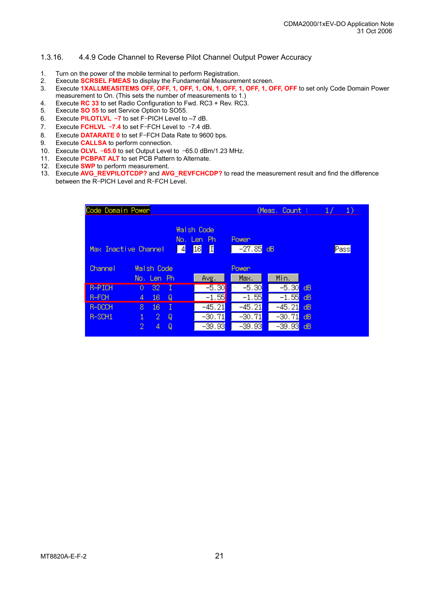#### 1.3.16. 4.4.9 Code Channel to Reverse Pilot Channel Output Power Accuracy

- 1. Turn on the power of the mobile terminal to perform Registration.
- 2. Execute **SCRSEL FMEAS** to display the Fundamental Measurement screen.
- 3. Execute **1XALLMEASITEMS OFF, OFF, 1, OFF, 1, ON, 1, OFF, 1, OFF, 1, OFF, OFF** to set only Code Domain Power measurement to On. (This sets the number of measurements to 1.)
- 4. Execute **RC 33** to set Radio Configuration to Fwd. RC3 + Rev. RC3.
- 5. Execute **SO 55** to set Service Option to SO55.
- 6. Execute **PILOTLVL** –**7** to set F–PICH Level to –7 dB.
- 7. Execute **FCHLVL** –**7.4** to set F–FCH Level to –7.4 dB.
- 8. Execute **DATARATE 0** to set F–FCH Data Rate to 9600 bps.
- 9. Execute **CALLSA** to perform connection.
- 10. Execute **OLVL** –**65.0** to set Output Level to –65.0 dBm/1.23 MHz.
- 11. Execute **PCBPAT ALT** to set PCB Pattern to Alternate.
- 12. Execute **SWP** to perform measurement.
- 13. Execute **AVG\_REVPILOTCDP?** and **AVG\_REVFCHCDP?** to read the measurement result and find the difference between the R–PICH Level and R–FCH Level.

| Code Domain Power    |    |                   |   |   | (Meas, Count :                             |                          | $\frac{1}{2}$<br>-1)  |    |      |
|----------------------|----|-------------------|---|---|--------------------------------------------|--------------------------|-----------------------|----|------|
| Max Inactive Channel |    |                   |   | 4 | <b>Walsh Code</b><br>No. Len Ph<br>16<br>Д | <b>Power</b><br>$-27.85$ | dB                    |    | Pass |
| Channel              |    | <b>Walsh Code</b> |   |   |                                            | Power <sub></sub>        |                       |    |      |
|                      |    | No. Len Ph        |   |   | Avg.                                       | Max.                     | Min.                  |    |      |
| <b>R-PICH</b>        | 0  | 32.               |   |   | $-5.30$                                    | $-5.30$                  | $-5.30$               | dB |      |
| R-FCH                | 4  | 16                | Q |   | $-1.55$                                    | $-1.55$                  | $-1.55$               | dB |      |
| R-DCCH               | 8. | 16                | Ι |   | $-45.21$                                   | $-45.21$                 | $-45.21$              | dВ |      |
| R-SCH1               | 1  | 2.                | Q |   | $-30.71$                                   | $-30.71$                 | $-30.71$              | dВ |      |
|                      | 2  | 4                 | Q |   | -39.93 <mark>)</mark>                      | -39.93 <mark>.</mark>    | -39.93 <mark>.</mark> | dВ |      |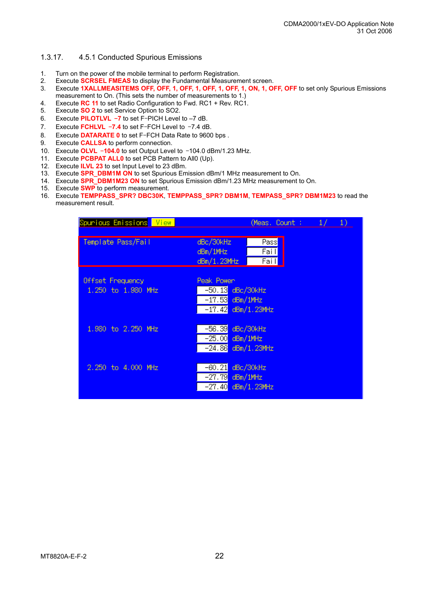#### 1.3.17. 4.5.1 Conducted Spurious Emissions

- 1. Turn on the power of the mobile terminal to perform Registration.
- 2. Execute **SCRSEL FMEAS** to display the Fundamental Measurement screen.
- 3. Execute **1XALLMEASITEMS OFF, OFF, 1, OFF, 1, OFF, 1, OFF, 1, ON, 1, OFF, OFF** to set only Spurious Emissions measurement to On. (This sets the number of measurements to 1.)
- 4. Execute **RC 11** to set Radio Configuration to Fwd. RC1 + Rev. RC1.
- 5. Execute **SO 2** to set Service Option to SO2.
- 6. Execute **PILOTLVL** –**7** to set F–PICH Level to –7 dB.
- 7. Execute **FCHLVL** –**7.4** to set F–FCH Level to –7.4 dB.
- 8. Execute **DATARATE 0** to set F–FCH Data Rate to 9600 bps .
- 9. Execute **CALLSA** to perform connection.
- 10. Execute **OLVL** –**104.0** to set Output Level to –104.0 dBm/1.23 MHz.
- 11. Execute **PCBPAT ALL0** to set PCB Pattern to All0 (Up).
- 12. Execute **ILVL 23** to set Input Level to 23 dBm.
- 13. Execute **SPR\_DBM1M ON** to set Spurious Emission dBm/1 MHz measurement to On.
- 14. Execute **SPR\_DBM1M23 ON** to set Spurious Emission dBm/1.23 MHz measurement to On.
- 15. Execute **SWP** to perform measurement.
- 16. Execute **TEMPPASS\_SPR? DBC30K**, **TEMPPASS\_SPR? DBM1M**, **TEMPASS\_SPR? DBM1M23** to read the measurement result.

| Spunious Emissions <mark> View  </mark> |                                                                               | (Meas, Count : $1/$  | $\left( \begin{matrix} 1 \end{matrix} \right)$ |
|-----------------------------------------|-------------------------------------------------------------------------------|----------------------|------------------------------------------------|
| Template Pass/Fail                      | dBc/30kHz<br>dBm/1MHz<br>dBm/1.23MHz                                          | Pass<br>Fail<br>Fail |                                                |
| Offset Frequency<br>1.250 to 1.980 MHz  | Peak Power<br>$-50.13$ dBc/30kHz<br>$-17.53$ dBm/1MHz<br>$-17.42$ dBm/1.23MHz |                      |                                                |
| 1,980 to 2,250 MHz                      | $-56.39$<br>$-25.00$ dBm/1MHz<br>$-24.86$ dBm/1.23MHz                         | dBc/30kHz            |                                                |
| 2.250 to 4.000 MHz                      | -60.21 <mark>.</mark><br>$-27.79$ dBm/1MHz<br>$-27.40$ dBm/1.23MHz            | dBc/30kHz            |                                                |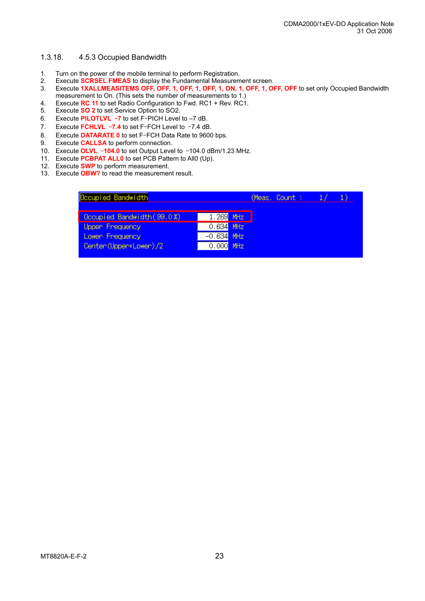#### 1.3.18. 4.5.3 Occupied Bandwidth

- 1. Turn on the power of the mobile terminal to perform Registration.
- 2. Execute **SCRSEL FMEAS** to display the Fundamental Measurement screen.
- 3. Execute **1XALLMEASITEMS OFF, OFF, 1, OFF, 1, OFF, 1, ON, 1, OFF, 1, OFF, OFF** to set only Occupied Bandwidth measurement to On. (This sets the number of measurements to 1.)
- 4. Execute **RC 11** to set Radio Configuration to Fwd. RC1 + Rev. RC1.
- 5. Execute **SO 2** to set Service Option to SO2.
- 6. Execute **PILOTLVL** –**7** to set F–PICH Level to –7 dB.
- 7. Execute **FCHLVL** –**7.4** to set F–FCH Level to –7.4 dB.
- 8. Execute **DATARATE 0** to set F–FCH Data Rate to 9600 bps.
- 9. Execute **CALLSA** to perform connection.
- 10. Execute **OLVL** –**104.0** to set Output Level to –104.0 dBm/1.23 MHz.
- 11. Execute **PCBPAT ALL0** to set PCB Pattern to All0 (Up).
- 12. Execute **SWP** to perform measurement.
- 13. Execute **OBW?** to read the measurement result.

| Occupied Bandwidth         |              | (Meas, Count : |  |
|----------------------------|--------------|----------------|--|
| Occupied Bandwidth (99.0%) | $1.269$ MHz  |                |  |
| Uppen Frequency            | $0.634$ MHz  |                |  |
| Lowen Frequency            | $-0.634$ MHz |                |  |
| Center (Upper+Lower)/2     | $0.000$ MHz  |                |  |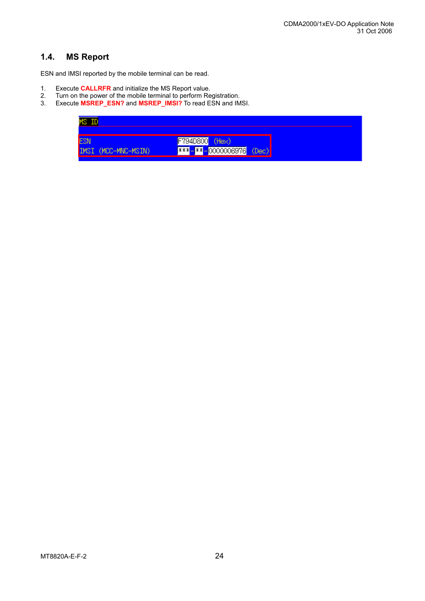### **1.4. MS Report**

ESN and IMSI reported by the mobile terminal can be read.

- 1. Execute **CALLRFR** and initialize the MS Report value.
- 2. Turn on the power of the mobile terminal to perform Registration.
- 3. Execute **MSREP\_ESN?** and **MSREP\_IMSI?** To read ESN and IMSI.

| MS ID               |                                |  |
|---------------------|--------------------------------|--|
|                     |                                |  |
| ESN                 | F794D800 (Hex)                 |  |
| IMSI (MCC-MNC-MSIN) | <b>***-**-0000006976</b> (Dec) |  |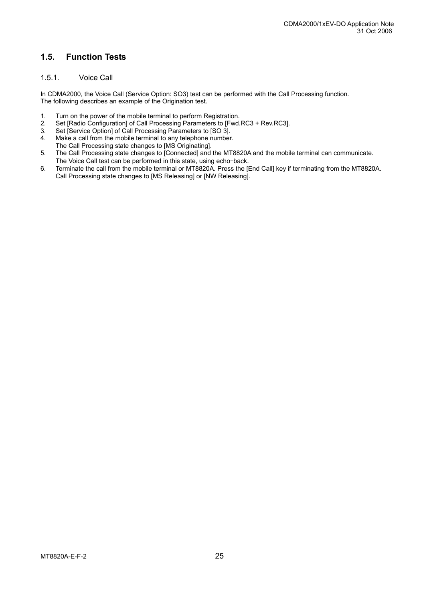## **1.5. Function Tests**

#### 1.5.1. Voice Call

In CDMA2000, the Voice Call (Service Option: SO3) test can be performed with the Call Processing function. The following describes an example of the Origination test.

- 1. Turn on the power of the mobile terminal to perform Registration.<br>2. Set IRadio Configuration of Call Processing Parameters to IFwd.
- 2. Set [Radio Configuration] of Call Processing Parameters to [Fwd.RC3 + Rev.RC3].<br>3. Set [Service Option] of Call Processing Parameters to [SO 3].
- 3. Set [Service Option] of Call Processing Parameters to [SO 3].<br>4. Make a call from the mobile terminal to any telephone number
- Make a call from the mobile terminal to any telephone number. The Call Processing state changes to [MS Originating].
- 5. The Call Processing state changes to [Connected] and the MT8820A and the mobile terminal can communicate. The Voice Call test can be performed in this state, using echo–back.
- 6. Terminate the call from the mobile terminal or MT8820A. Press the [End Call] key if terminating from the MT8820A. Call Processing state changes to [MS Releasing] or [NW Releasing].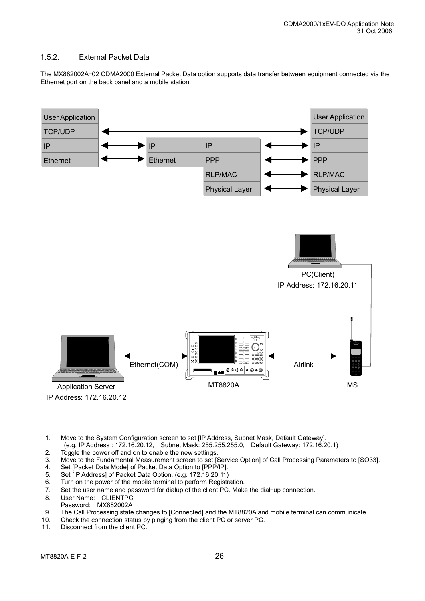#### 1.5.2. External Packet Data

The MX882002A–02 CDMA2000 External Packet Data option supports data transfer between equipment connected via the Ethernet port on the back panel and a mobile station.



- 1. Move to the System Configuration screen to set [IP Address, Subnet Mask, Default Gateway]. (e.g. IP Address : 172.16.20.12, Subnet Mask: 255.255.255.0, Default Gateway: 172.16.20.1)
- 2. Toggle the power off and on to enable the new settings.
- 3. Move to the Fundamental Measurement screen to set [Service Option] of Call Processing Parameters to [SO33].
- 4. Set [Packet Data Mode] of Packet Data Option to [PPP/IP].
- 5. Set [IP Address] of Packet Data Option. (e.g. 172.16.20.11)
- 6. Turn on the power of the mobile terminal to perform Registration.
- 7. Set the user name and password for dialup of the client PC. Make the dial–up connection.
- 8. User Name: CLIENTPC
- Password: MX882002A
- 9. The Call Processing state changes to [Connected] and the MT8820A and mobile terminal can communicate.
- 10. Check the connection status by pinging from the client PC or server PC.<br>11. Disconnect from the client PC.
- Disconnect from the client PC.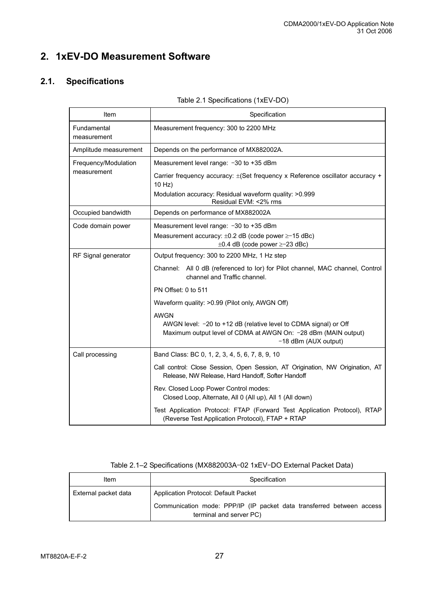## **2. 1xEV-DO Measurement Software**

## **2.1. Specifications**

| Table 2.1 Specifications (1xEV-DO) |  |
|------------------------------------|--|
|                                    |  |

| Item                       | Specification                                                                                                                                              |  |  |  |  |
|----------------------------|------------------------------------------------------------------------------------------------------------------------------------------------------------|--|--|--|--|
| Fundamental<br>measurement | Measurement frequency: 300 to 2200 MHz                                                                                                                     |  |  |  |  |
| Amplitude measurement      | Depends on the performance of MX882002A.                                                                                                                   |  |  |  |  |
| Frequency/Modulation       | Measurement level range: -30 to +35 dBm                                                                                                                    |  |  |  |  |
| measurement                | Carrier frequency accuracy: $\pm$ (Set frequency x Reference oscillator accuracy +<br>10 Hz)                                                               |  |  |  |  |
|                            | Modulation accuracy: Residual waveform quality: >0.999<br>Residual EVM: <2% rms                                                                            |  |  |  |  |
| Occupied bandwidth         | Depends on performance of MX882002A                                                                                                                        |  |  |  |  |
| Code domain power          | Measurement level range: -30 to +35 dBm                                                                                                                    |  |  |  |  |
|                            | Measurement accuracy: $\pm 0.2$ dB (code power $\geq -15$ dBc)<br>$\pm 0.4$ dB (code power $\geq -23$ dBc)                                                 |  |  |  |  |
| RF Signal generator        | Output frequency: 300 to 2200 MHz, 1 Hz step                                                                                                               |  |  |  |  |
|                            | Channel: All 0 dB (referenced to lor) for Pilot channel, MAC channel, Control<br>channel and Traffic channel.                                              |  |  |  |  |
|                            | PN Offset: 0 to 511                                                                                                                                        |  |  |  |  |
|                            | Waveform quality: >0.99 (Pilot only, AWGN Off)                                                                                                             |  |  |  |  |
|                            | <b>AWGN</b>                                                                                                                                                |  |  |  |  |
|                            | AWGN level: -20 to +12 dB (relative level to CDMA signal) or Off<br>Maximum output level of CDMA at AWGN On: -28 dBm (MAIN output)<br>-18 dBm (AUX output) |  |  |  |  |
| Call processing            | Band Class: BC 0, 1, 2, 3, 4, 5, 6, 7, 8, 9, 10                                                                                                            |  |  |  |  |
|                            | Call control: Close Session, Open Session, AT Origination, NW Origination, AT<br>Release, NW Release, Hard Handoff, Softer Handoff                         |  |  |  |  |
|                            | Rev. Closed Loop Power Control modes:<br>Closed Loop, Alternate, All 0 (All up), All 1 (All down)                                                          |  |  |  |  |
|                            | Test Application Protocol: FTAP (Forward Test Application Protocol), RTAP<br>(Reverse Test Application Protocol), FTAP + RTAP                              |  |  |  |  |

| Item                 | Specification                                                                                    |  |  |  |  |  |
|----------------------|--------------------------------------------------------------------------------------------------|--|--|--|--|--|
| External packet data | Application Protocol: Default Packet                                                             |  |  |  |  |  |
|                      | Communication mode: PPP/IP (IP packet data transferred between access<br>terminal and server PC) |  |  |  |  |  |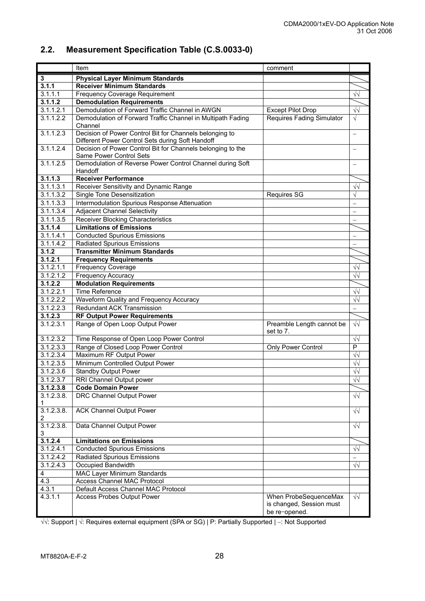## **2.2. Measurement Specification Table (C.S.0033-0)**

|                 | Item                                                                                                        | comment                                                            |                          |
|-----------------|-------------------------------------------------------------------------------------------------------------|--------------------------------------------------------------------|--------------------------|
| 3               | <b>Physical Layer Minimum Standards</b>                                                                     |                                                                    |                          |
| 3.1.1           | <b>Receiver Minimum Standards</b>                                                                           |                                                                    |                          |
| 3.1.1.1         | <b>Frequency Coverage Requirement</b>                                                                       |                                                                    | $\sqrt{2}$               |
| 3.1.1.2         | <b>Demodulation Requirements</b>                                                                            |                                                                    |                          |
| 3.1.1.2.1       | Demodulation of Forward Traffic Channel in AWGN                                                             | <b>Except Pilot Drop</b>                                           | $\sqrt{2}$               |
| 3.1.1.2.2       | Demodulation of Forward Traffic Channel in Multipath Fading                                                 | <b>Requires Fading Simulator</b>                                   | $\sqrt{}$                |
|                 | Channel                                                                                                     |                                                                    |                          |
| 3.1.1.2.3       | Decision of Power Control Bit for Channels belonging to<br>Different Power Control Sets during Soft Handoff |                                                                    | $\overline{\phantom{0}}$ |
| 3.1.1.2.4       | Decision of Power Control Bit for Channels belonging to the<br>Same Power Control Sets                      |                                                                    |                          |
| 3.1.1.2.5       | Demodulation of Reverse Power Control Channel during Soft<br>Handoff                                        |                                                                    |                          |
| 3.1.1.3         | <b>Receiver Performance</b>                                                                                 |                                                                    |                          |
| 3.1.1.3.1       | Receiver Sensitivity and Dynamic Range                                                                      |                                                                    | $\sqrt{2}$               |
| 3.1.1.3.2       | Single Tone Desensitization                                                                                 | <b>Requires SG</b>                                                 | $\sqrt{}$                |
| 3.1.1.3.3       | Intermodulation Spurious Response Attenuation                                                               |                                                                    | $\overline{\phantom{0}}$ |
| 3.1.1.3.4       | <b>Adjacent Channel Selectivity</b>                                                                         |                                                                    |                          |
| 3.1.1.3.5       | <b>Receiver Blocking Characteristics</b>                                                                    |                                                                    |                          |
| 3.1.1.4         | <b>Limitations of Emissions</b>                                                                             |                                                                    |                          |
| 3.1.1.4.1       | <b>Conducted Spurious Emissions</b>                                                                         |                                                                    |                          |
| 3.1.1.4.2       | <b>Radiated Spurious Emissions</b>                                                                          |                                                                    |                          |
| 3.1.2           | <b>Transmitter Minimum Standards</b>                                                                        |                                                                    |                          |
| 3.1.2.1         | <b>Frequency Requirements</b>                                                                               |                                                                    |                          |
| 3.1.2.1.1       | Frequency Coverage                                                                                          |                                                                    | $\sqrt{2}$               |
| 3.1.2.1.2       | Frequency Accuracy                                                                                          |                                                                    | $\sqrt{2}$               |
| 3.1.2.2         | <b>Modulation Requirements</b>                                                                              |                                                                    |                          |
| 3.1.2.2.1       | <b>Time Reference</b>                                                                                       |                                                                    | $\sqrt{2}$               |
| 3.1.2.2.2       | Waveform Quality and Frequency Accuracy                                                                     |                                                                    | $\sqrt{2}$               |
| 3.1.2.2.3       | <b>Redundant ACK Transmission</b>                                                                           |                                                                    |                          |
| 3.1.2.3         | <b>RF Output Power Requirements</b>                                                                         |                                                                    |                          |
| 3.1.2.3.1       | Range of Open Loop Output Power                                                                             | Preamble Length cannot be<br>set to 7.                             | $\sqrt{2}$               |
| 3.1.2.3.2       | Time Response of Open Loop Power Control                                                                    |                                                                    | $\sqrt{\sqrt{2}}$        |
| 3.1.2.3.3       | Range of Closed Loop Power Control                                                                          | Only Power Control                                                 | $\overline{P}$           |
| 3.1.2.3.4       | Maximum RF Output Power                                                                                     |                                                                    | $\sqrt{2}$               |
| 3.1.2.3.5       | Minimum Controlled Output Power                                                                             |                                                                    | $\sqrt{2}$               |
| 3.1.2.3.6       | <b>Standby Output Power</b>                                                                                 |                                                                    | $\sqrt{2}$               |
| 3.1.2.3.7       | RRI Channel Output power                                                                                    |                                                                    | $\sqrt{2}$               |
| 3.1.2.3.8       | <b>Code Domain Power</b>                                                                                    |                                                                    |                          |
| 3.1.2.3.8.<br>1 | DRC Channel Output Power                                                                                    |                                                                    | $\sqrt{\sqrt{2}}$        |
| 3.1.2.3.8.<br>2 | <b>ACK Channel Output Power</b>                                                                             |                                                                    | $\sqrt{v}$               |
| 3.1.2.3.8<br>3  | Data Channel Output Power                                                                                   |                                                                    | $\sqrt{2}$               |
| 3.1.2.4         | <b>Limitations on Emissions</b>                                                                             |                                                                    |                          |
| 3.1.2.4.1       | <b>Conducted Spurious Emissions</b>                                                                         |                                                                    | $\sqrt{2}$               |
| 3.1.2.4.2       | <b>Radiated Spurious Emissions</b>                                                                          |                                                                    |                          |
| 3.1.2.4.3       | Occupied Bandwidth                                                                                          |                                                                    | $\sqrt{2}$               |
| 4               | MAC Layer Minimum Standards                                                                                 |                                                                    |                          |
| 4.3             | <b>Access Channel MAC Protocol</b>                                                                          |                                                                    |                          |
| 4.3.1           | Default Access Channel MAC Protocol                                                                         |                                                                    |                          |
| 4.3.1.1         | <b>Access Probes Output Power</b>                                                                           | When ProbeSequenceMax<br>is changed, Session must<br>be re-opened. | $\sqrt{\sqrt{2}}$        |

√√: Support | √: Requires external equipment (SPA or SG) | P: Partially Supported | −: Not Supported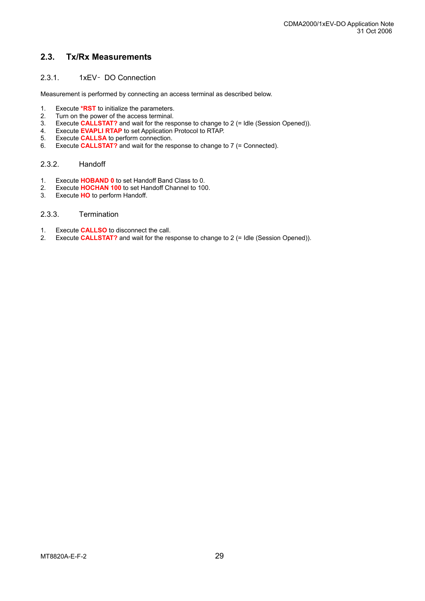### **2.3. Tx/Rx Measurements**

#### 2.3.1. 1xEV– DO Connection

Measurement is performed by connecting an access terminal as described below.

- 1. Execute **\*RST** to initialize the parameters.
- 2. Turn on the power of the access terminal.
- 3. Execute **CALLSTAT?** and wait for the response to change to 2 (= ldle (Session Opened)).
- 4. Execute **EVAPLI RTAP** to set Application Protocol to RTAP.
- 5. Execute **CALLSA** to perform connection.
- 6. Execute **CALLSTAT?** and wait for the response to change to 7 (= Connected).

#### 2.3.2. Handoff

- 1. Execute **HOBAND 0** to set Handoff Band Class to 0.
- 2. Execute **HOCHAN 100** to set Handoff Channel to 100.
- Execute **HO** to perform Handoff.

#### 2.3.3. Termination

- 1. Execute **CALLSO** to disconnect the call.
- 2. Execute **CALLSTAT?** and wait for the response to change to 2 (= Idle (Session Opened)).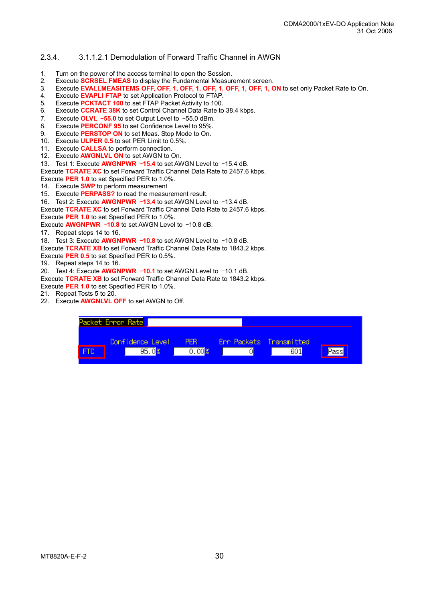#### 2.3.4. 3.1.1.2.1 Demodulation of Forward Traffic Channel in AWGN

- 1. Turn on the power of the access terminal to open the Session.
- 2. Execute **SCRSEL FMEAS** to display the Fundamental Measurement screen.
- 3. Execute **EVALLMEASITEMS OFF, OFF, 1, OFF, 1, OFF, 1, OFF, 1, OFF, 1, ON** to set only Packet Rate to On.
- 4. Execute **EVAPLI FTAP** to set Application Protocol to FTAP.
- 5. Execute **PCKTACT 100** to set FTAP Packet Activity to 100.
- 6. Execute **CCRATE 38K** to set Control Channel Data Rate to 38.4 kbps.
- 7. Execute **OLVL** –**55.0** to set Output Level to –55.0 dBm.
- 8. Execute **PERCONF 95** to set Confidence Level to 95%.
- 9. Execute **PERSTOP ON** to set Meas. Stop Mode to On.
- 10. Execute **ULPER 0.5** to set PER Limit to 0.5%.
- 11. Execute **CALLSA** to perform connection.
- 12. Execute **AWGNLVL ON** to set AWGN to On.
- 13. Test 1: Execute **AWGNPWR** –**15.4** to set AWGN Level to –15.4 dB.

Execute **TCRATE XC** to set Forward Traffic Channel Data Rate to 2457.6 kbps.

Execute **PER 1.0** to set Specified PER to 1.0%.

- 14. Execute **SWP** to perform measurement
- 15. Execute **PERPASS?** to read the measurement result.
- 16. Test 2: Execute **AWGNPWR** –**13.4** to set AWGN Level to –13.4 dB.

Execute **TCRATE XC** to set Forward Traffic Channel Data Rate to 2457.6 kbps.

Execute **PER 1.0** to set Specified PER to 1.0%.

- Execute **AWGNPWR** –**10.8** to set AWGN Level to –10.8 dB.
- 17. Repeat steps 14 to 16.
- 18. Test 3: Execute **AWGNPWR** –**10.8** to set AWGN Level to –10.8 dB.
- Execute **TCRATE XB** to set Forward Traffic Channel Data Rate to 1843.2 kbps.

Execute **PER 0.5** to set Specified PER to 0.5%.

19. Repeat steps 14 to 16.

20. Test 4: Execute **AWGNPWR** –**10.1** to set AWGN Level to –10.1 dB.

Execute **TCRATE XB** to set Forward Traffic Channel Data Rate to 1843.2 kbps.

Execute **PER 1.0** to set Specified PER to 1.0%.

- 21. Repeat Tests 5 to 20.
- 22. Execute **AWGNLVL OFF** to set AWGN to Off.

| Packet Error Rate |                    |                         |      |
|-------------------|--------------------|-------------------------|------|
| Confidence Level  | <b>PFR</b><br>.00B | Err Packets Transmitted | Pass |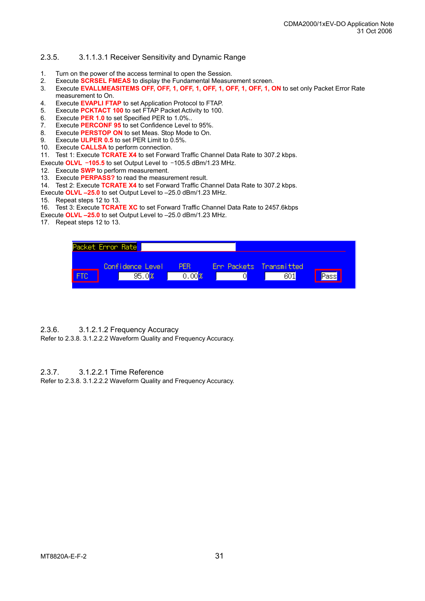#### 2.3.5. 3.1.1.3.1 Receiver Sensitivity and Dynamic Range

- 1. Turn on the power of the access terminal to open the Session.
- 2. Execute **SCRSEL FMEAS** to display the Fundamental Measurement screen.
- 3. Execute **EVALLMEASITEMS OFF, OFF, 1, OFF, 1, OFF, 1, OFF, 1, OFF, 1, ON** to set only Packet Error Rate measurement to On.
- 4. Execute **EVAPLI FTAP** to set Application Protocol to FTAP.
- 5. Execute **PCKTACT 100** to set FTAP Packet Activity to 100.
- 6. Execute **PER 1.0** to set Specified PER to 1.0%..
- 7. Execute **PERCONF 95** to set Confidence Level to 95%.
- 8. Execute **PERSTOP ON** to set Meas. Stop Mode to On.
- 9. Execute **ULPER 0.5** to set PER Limit to 0.5%.
- 10. Execute **CALLSA** to perform connection.
- 11. Test 1: Execute **TCRATE X4** to set Forward Traffic Channel Data Rate to 307.2 kbps.
- Execute **OLVL** –**105.5** to set Output Level to –105.5 dBm/1.23 MHz.
- 12. Execute **SWP** to perform measurement.
- 13. Execute **PERPASS?** to read the measurement result.
- 14. Test 2: Execute **TCRATE X4** to set Forward Traffic Channel Data Rate to 307.2 kbps.

Execute **OLVL –25.0** to set Output Level to –25.0 dBm/1.23 MHz.

- 15. Repeat steps 12 to 13.
- 16. Test 3: Execute **TCRATE XC** to set Forward Traffic Channel Data Rate to 2457.6kbps
- Execute **OLVL –25.0** to set Output Level to –25.0 dBm/1.23 MHz.
- 17. Repeat steps 12 to 13.

| Packet Error Rate |                  |                     |   |                          |       |
|-------------------|------------------|---------------------|---|--------------------------|-------|
|                   | Confidence Level | <b>ABRY</b>         |   | Err Packets Transmitted. |       |
|                   | 95.              | 0.00 <mark>3</mark> | J |                          | Passy |

#### 2.3.6. 3.1.2.1.2 Frequency Accuracy

Refer to 2.3.8. 3.1.2.2.2 Waveform Quality and Frequency Accuracy.

#### 2.3.7. 3.1.2.2.1 Time Reference

Refer to 2.3.8. 3.1.2.2.2 Waveform Quality and Frequency Accuracy.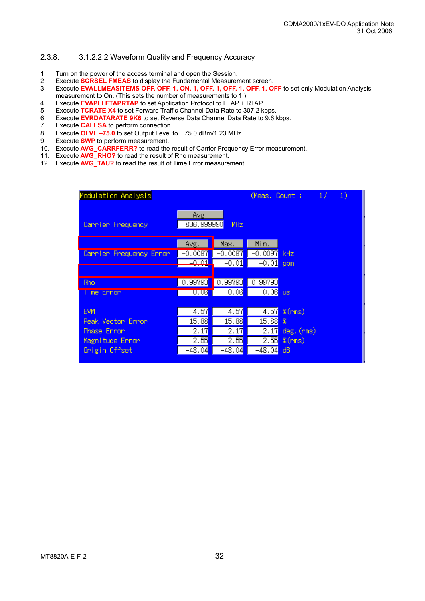#### 2.3.8. 3.1.2.2.2 Waveform Quality and Frequency Accuracy

- 1. Turn on the power of the access terminal and open the Session.
- 2. Execute **SCRSEL FMEAS** to display the Fundamental Measurement screen.
- 3. Execute **EVALLMEASITEMS OFF, OFF, 1, ON, 1, OFF, 1, OFF, 1, OFF, 1, OFF** to set only Modulation Analysis measurement to On. (This sets the number of measurements to 1.)
- 4. Execute **EVAPLI FTAPRTAP** to set Application Protocol to FTAP + RTAP.
- 5. Execute **TCRATE X4** to set Forward Traffic Channel Data Rate to 307.2 kbps.
- 6. Execute **EVRDATARATE 9K6** to set Reverse Data Channel Data Rate to 9.6 kbps.
- Execute **CALLSA** to perform connection.
- 8. Execute **OLVL –75.0** to set Output Level to –75.0 dBm/1.23 MHz.
- 9. Execute **SWP** to perform measurement.
- 10. Execute **AVG\_CARRFERR?** to read the result of Carrier Frequency Error measurement.
- 11. Execute **AVG\_RHO?** to read the result of Rho measurement.
- 11. Execute **AVG\_RHO?** to read the result of Rho measurement.<br>12. Execute **AVG\_TAU?** to read the result of Time Error measurement.

| Modulation Analysis                                                                |                                           |                                                        | (Meas, Count :                                         | $\sim$ 1/<br>1)                                       |
|------------------------------------------------------------------------------------|-------------------------------------------|--------------------------------------------------------|--------------------------------------------------------|-------------------------------------------------------|
| Cannien Frequency                                                                  | Avg.<br>836.999990 <mark>.</mark>         | MHz                                                    |                                                        |                                                       |
| Carrier Frequency Error                                                            | Avg.<br>$-0.0097$<br>$-0.01$              | Max.<br>$-0.0097$<br>$-0.01$                           | Min.<br>$-0.0097$<br>$-0.01$                           | kHz<br>ppm                                            |
| <b>Rho</b><br>Time Error                                                           | 0.99793<br>[0.06]                         | 0.99793<br>0.06                                        | 0.99793<br>0.06                                        | <b>US</b>                                             |
| <b>EVM</b><br>Peak Vector Error<br>Phase Error<br>Magnitude Error<br>Origin Offset | 4.57<br>15.88<br>2.17<br>2.55<br>$-48.04$ | 4.57<br>15.88<br>2.17<br>2.55<br>-48.04 <mark>.</mark> | 4.57<br>15.88<br>2.17<br>2.55<br>-48.04 <mark>.</mark> | $%$ (rms)<br>x<br>$deg.$ ( $rms$ )<br>$%$ (rms)<br>dB |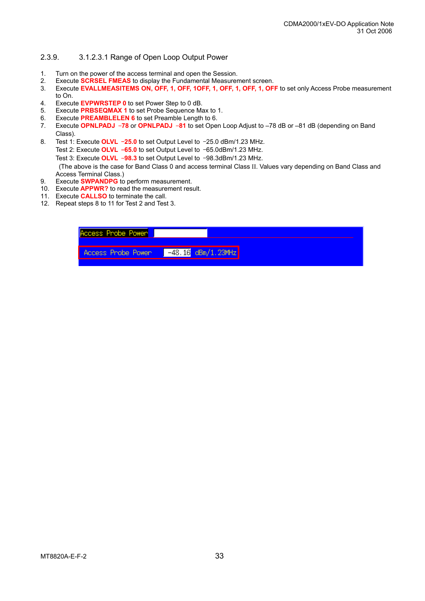#### 2.3.9. 3.1.2.3.1 Range of Open Loop Output Power

- 1. Turn on the power of the access terminal and open the Session.
- 2. Execute **SCRSEL FMEAS** to display the Fundamental Measurement screen.
- 3. Execute **EVALLMEASITEMS ON, OFF, 1, OFF, 1OFF, 1, OFF, 1, OFF, 1, OFF** to set only Access Probe measurement to On.
- 4. Execute **EVPWRSTEP 0** to set Power Step to 0 dB.
- 5. Execute **PRBSEQMAX 1** to set Probe Sequence Max to 1.
- 6. Execute **PREAMBLELEN 6** to set Preamble Length to 6.
- 7. Execute **OPNLPADJ** –**78** or **OPNLPADJ** –**81** to set Open Loop Adjust to –78 dB or –81 dB (depending on Band Class).
- 8. Test 1: Execute **OLVL** –**25.0** to set Output Level to –25.0 dBm/1.23 MHz.
	- Test 2: Execute **OLVL** –**65.0** to set Output Level to –65.0dBm/1.23 MHz.
	- Test 3: Execute **OLVL** –**98.3** to set Output Level to –98.3dBm/1.23 MHz.

 (The above is the case for Band Class 0 and access terminal Class ΙΙ. Values vary depending on Band Class and Access Terminal Class.)

- 9. Execute **SWPANDPG** to perform measurement.
- 10. Execute **APPWR?** to read the measurement result.
- 11. Execute **CALLSO** to terminate the call.
- 12. Repeat steps 8 to 11 for Test 2 and Test 3.

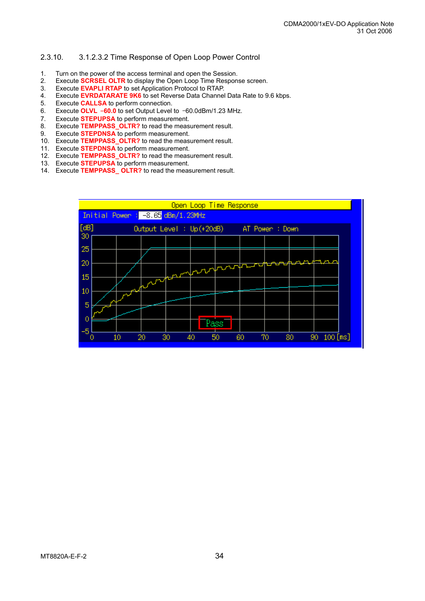#### 2.3.10. 3.1.2.3.2 Time Response of Open Loop Power Control

- 1. Turn on the power of the access terminal and open the Session.
- 2. Execute **SCRSEL OLTR** to display the Open Loop Time Response screen.
- 3. Execute **EVAPLI RTAP** to set Application Protocol to RTAP.
- 4. Execute **EVRDATARATE 9K6** to set Reverse Data Channel Data Rate to 9.6 kbps.
- 5. Execute **CALLSA** to perform connection.
- 6. Execute **OLVL** –**60.0** to set Output Level to –60.0dBm/1.23 MHz.
- 7. Execute **STEPUPSA** to perform measurement.
- 8. Execute **TEMPPASS\_OLTR?** to read the measurement result.
- 9. Execute **STEPDNSA** to perform measurement.
- 10. Execute **TEMPPASS\_OLTR?** to read the measurement result.
- 11. Execute **STEPDNSA** to perform measurement.
- Execute **TEMPPASS OLTR?** to read the measurement result.
- 12. Execute **TEMPPASS\_OLTR?** to read the measurement.<br>13. Execute **STEPUPSA** to perform measurement.
- 14. Execute **TEMPPASS\_ OLTR?** to read the measurement result.

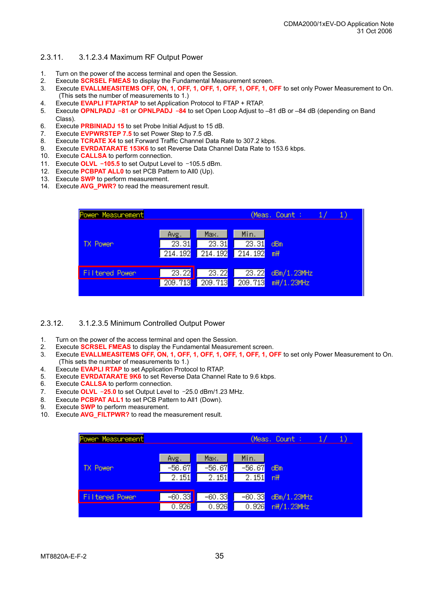#### 2.3.11. 3.1.2.3.4 Maximum RF Output Power

- 1. Turn on the power of the access terminal and open the Session.
- 2. Execute **SCRSEL FMEAS** to display the Fundamental Measurement screen.
- 3. Execute **EVALLMEASITEMS OFF, ON, 1, OFF, 1, OFF, 1, OFF, 1, OFF, 1, OFF** to set only Power Measurement to On. (This sets the number of measurements to 1.)
- 4. Execute **EVAPLI FTAPRTAP** to set Application Protocol to FTAP + RTAP.
- 5. Execute **OPNLPADJ** –**81** or **OPNLPADJ** –**84** to set Open Loop Adjust to –81 dB or –84 dB (depending on Band Class).
- 6. Execute **PRBINIADJ 15** to set Probe Initial Adjust to 15 dB.
- 7. Execute **EVPWRSTEP 7.5** to set Power Step to 7.5 dB.
- 8. Execute **TCRATE X4** to set Forward Traffic Channel Data Rate to 307.2 kbps.
- 9. Execute **EVRDATARATE 153K6** to set Reverse Data Channel Data Rate to 153.6 kbps.
- 10. Execute **CALLSA** to perform connection.
- 11. Execute **OLVL** –**105.5** to set Output Level to –105.5 dBm.
- 12. Execute **PCBPAT ALL0** to set PCB Pattern to All0 (Up).
- 13. Execute **SWP** to perform measurement.
- 14. Execute **AVG\_PWR?** to read the measurement result.

| Power Measurement     |                          |                                       |                                       | (Meas, Count :<br>1.      |
|-----------------------|--------------------------|---------------------------------------|---------------------------------------|---------------------------|
| <b>TX Power</b>       | Avg.<br>23.31<br>214.192 | Max.<br>$\overline{23.31}$<br>214.192 | Min.<br>$\overline{23.31}$<br>214.192 | dBm<br>m <sup>H</sup>     |
| <b>Filtered Power</b> | 23.22<br>209.713         | $\overline{23.22}$<br>209.713         | 23.22<br>209.713                      | dBm/1.23MHz<br>mW/1.23MHz |

#### 2.3.12. 3.1.2.3.5 Minimum Controlled Output Power

- 1. Turn on the power of the access terminal and open the Session.
- 2. Execute **SCRSEL FMEAS** to display the Fundamental Measurement screen.
- 3. Execute **EVALLMEASITEMS OFF, ON, 1, OFF, 1, OFF, 1, OFF, 1, OFF, 1, OFF** to set only Power Measurement to On. (This sets the number of measurements to 1.)
- 4. Execute **EVAPLI RTAP** to set Application Protocol to RTAP.
- 5. Execute **EVRDATARATE 9K6** to set Reverse Data Channel Rate to 9.6 kbps.
- 6. Execute **CALLSA** to perform connection.
- 7. Execute **OLVL** –**25.0** to set Output Level to –25.0 dBm/1.23 MHz.
- 8. Execute **PCBPAT ALL1** to set PCB Pattern to All1 (Down).
- 9. Execute **SWP** to perform measurement.
- 10. Execute **AVG\_FILTPWR?** to read the measurement result.

| Power Measurement |                  |                    |                    | (Meas, Count :<br>1) |
|-------------------|------------------|--------------------|--------------------|----------------------|
| <b>TX Power</b>   | Avg.<br>$-56.67$ | Max.<br>$-56.67$   | Min.<br>$-56.67$   | dBm                  |
|                   | 2.151            | 2.151              | $\overline{2.151}$ | nH                   |
|                   |                  |                    |                    |                      |
| Filtered Power    | $-60.33$         | $-60.33$           | $-60.33$           | dBm/1.23MHz          |
|                   | 0.926            | $\overline{0.926}$ | 0.926              | n\/1.23MHz           |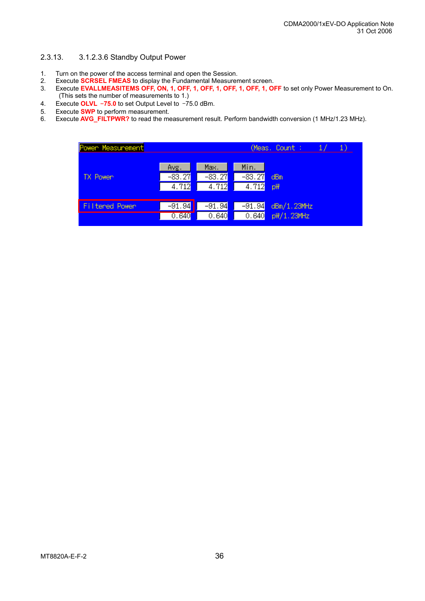#### 2.3.13. 3.1.2.3.6 Standby Output Power

- 1. Turn on the power of the access terminal and open the Session.
- 2. Execute **SCRSEL FMEAS** to display the Fundamental Measurement screen.
- 3. Execute **EVALLMEASITEMS OFF, ON, 1, OFF, 1, OFF, 1, OFF, 1, OFF, 1, OFF** to set only Power Measurement to On. (This sets the number of measurements to 1.)
- 4. Execute **OLVL** –**75.0** to set Output Level to –75.0 dBm.
- 5. Execute **SWP** to perform measurement.<br>6. Execute **AVG FILTPWR?** to read the me
- Execute **AVG\_FILTPWR?** to read the measurement result. Perform bandwidth conversion (1 MHz/1.23 MHz).

| Power Measurement |          |                    |          | (Meas, Count :<br>$_{1)}$ |
|-------------------|----------|--------------------|----------|---------------------------|
|                   | Avg.     | Max.               | Min.     |                           |
| <b>TX Power</b>   | $-83.27$ | $-83.27$           | $-83.27$ | dBm                       |
|                   | 4.712    | $\overline{4.712}$ | 4.712    | p\                        |
|                   |          |                    |          |                           |
| Filtered Power    | $-91.94$ | $-91.94$           | $-91.94$ | dBm/1.23MHz               |
|                   | 0.640    | 0.640              | 0.640    | p\/1.23MHz                |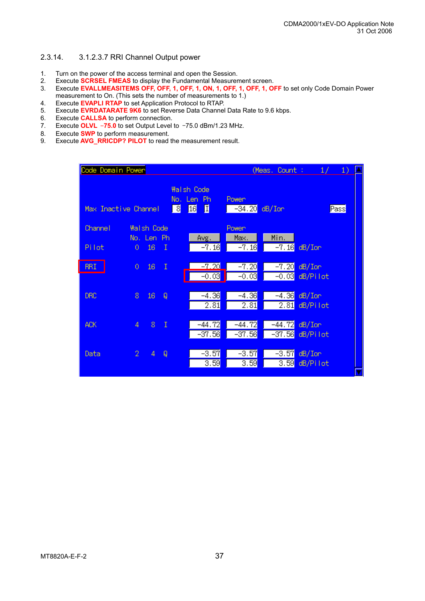#### 2.3.14. 3.1.2.3.7 RRI Channel Output power

- 1. Turn on the power of the access terminal and open the Session.
- 2. Execute **SCRSEL FMEAS** to display the Fundamental Measurement screen.
- 3. Execute **EVALLMEASITEMS OFF, OFF, 1, OFF, 1, ON, 1, OFF, 1, OFF, 1, OFF** to set only Code Domain Power measurement to On. (This sets the number of measurements to 1.)
- 4. Execute **EVAPLI RTAP** to set Application Protocol to RTAP.
- 5. Execute **EVRDATARATE 9K6** to set Reverse Data Channel Data Rate to 9.6 kbps.
- 6. Execute **CALLSA** to perform connection.
- 7. Execute **OLVL** –**75.0** to set Output Level to –75.0 dBm/1.23 MHz.
- 8. Execute **SWP** to perform measurement.
- 9. Execute **AVG\_RRICDP? PILOT** to read the measurement result.

| Code Domain Power    |                                      |                 |                |                                                                       |                                      | (Meas, Count :                    | 1/                    | $\left( \begin{matrix} 1 \end{matrix} \right)$ |
|----------------------|--------------------------------------|-----------------|----------------|-----------------------------------------------------------------------|--------------------------------------|-----------------------------------|-----------------------|------------------------------------------------|
| Max Inactive Channel |                                      |                 |                | <b>Wallsh Code</b><br>Len<br>No.<br>-Ph<br>団<br>छ <br>$\overline{16}$ | Power<br>$-34.20$ dB/Ion             |                                   |                       | Pass                                           |
| Channel<br>Pilot     | Wallsh Code<br>No. Len Ph<br>$\circ$ | 16              | $\mathbf I$    | Avg.<br>$-7.16$                                                       | Power <sub></sub><br>Max.<br>$-7.16$ | Min.<br>$-7.16$                   | $dB/$ Ion             |                                                |
| <b>RRI</b>           | $\overline{0}$                       | 16              | Π              | $-7.20$<br>$-0.03$                                                    | $-7.20$<br>$-0.03$                   | $-7.20$<br>$-0.03$                | $dB/$ Ion<br>dB/Pilot |                                                |
| <b>DRC</b>           | 8                                    | 16 <sup>1</sup> | $\overline{Q}$ | $-4.36$<br>2.81                                                       | $-4.36$<br>2.81                      | $-4.36$<br>2.81                   | $dB/$ Ion<br>dB/Pilot |                                                |
| <b>ACK</b>           | $\overline{4}$                       | 8.              | $\mathbb{I}$   | $-44.72$<br>-37.56 <mark>1</mark>                                     | $-44.72$<br>-37.56 <mark>1</mark>    | $-44.72$<br>-37.56 <mark>.</mark> | $dB/I$ on<br>dB/Pilot |                                                |
| Data                 | $\mathbf{2}$                         | 4               | Q              | $-3.57$<br>3.59                                                       | $-3.57$<br>3.59                      | $-3.57$<br>3.59                   | $dB/I$ on<br>dB/Pilot |                                                |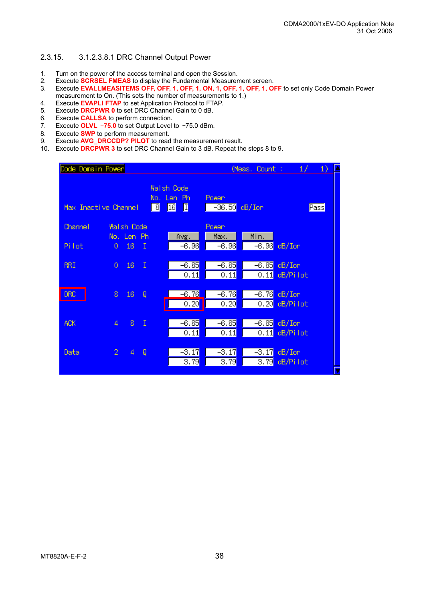#### 2.3.15. 3.1.2.3.8.1 DRC Channel Output Power

- 1. Turn on the power of the access terminal and open the Session.
- 2. Execute **SCRSEL FMEAS** to display the Fundamental Measurement screen.
- 3. Execute **EVALLMEASITEMS OFF, OFF, 1, OFF, 1, ON, 1, OFF, 1, OFF, 1, OFF** to set only Code Domain Power measurement to On. (This sets the number of measurements to 1.)
- 4. Execute **EVAPLI FTAP** to set Application Protocol to FTAP.
- 5. Execute **DRCPWR 0** to set DRC Channel Gain to 0 dB.
- 6. Execute **CALLSA** to perform connection.
- 7. Execute **OLVL** –**75.0** to set Output Level to –75.0 dBm.
- 
- 8. Execute **SWP** to perform measurement.<br>9. Execute **AVG** DRCCDP? PILOT to read 9. Execute **AVG\_DRCCDP? PILOT** to read the measurement result.
- 10. Execute **DRCPWR 3** to set DRC Channel Gain to 3 dB. Repeat the steps 8 to 9.

| Code Domain Power <mark>l</mark> |              |                                 |              |                                                         |                              |                               | (Meas, Count :               | 1/                    | 1)   |
|----------------------------------|--------------|---------------------------------|--------------|---------------------------------------------------------|------------------------------|-------------------------------|------------------------------|-----------------------|------|
| Max Inactive Channel             |              |                                 |              | <b>Walsh Code</b><br>No.<br>Len<br>ि<br>$\overline{16}$ | Ph.<br>囗                     | Power <sub></sub><br>$-36.50$ | $dB/I$ on                    |                       | Pass |
| <b>Channel</b>                   |              | <b>Walsh Code</b><br>No, Len Ph |              |                                                         | Avg.                         | Power <sub></sub><br>Max.     | Min.                         |                       |      |
| Pilot                            | 0            | 16                              | Π            |                                                         | $-6.96$                      | $-6.96$                       | −6.96 <mark>1</mark>         | $dB/$ Ion             |      |
| <b>RRI</b>                       | $\circ$      | 16                              | Ι            |                                                         | $-6.85$<br>$\overline{0.11}$ | $-6.85$<br>$\overline{0.11}$  | $-6.85$<br>[0.11]            | $dB/I$ on<br>dB/Pilot |      |
| <b>DRC</b>                       | 8            | 16                              | Q            |                                                         | $-6.76$<br>0.20              | $-6.76$<br>0.20               | $-6.76$<br>$\overline{0.20}$ | $dB/I$ on<br>dB/Pilot |      |
| ACK.                             | 4            | 8                               | $\mathbb{I}$ |                                                         | $-6.85$<br>0.11              | $-6.85$<br>0.11               | $-6.85$<br>[0, 11]           | $dB/I$ on<br>dB/Pilot |      |
| Data                             | $\mathbf{2}$ | 4                               | Q            |                                                         | $-3.17$<br>3.79              | $-3.17$<br>3.79               | $-3.17$<br>3.79              | dB/Im<br>dB/Pilot     |      |
|                                  |              |                                 |              |                                                         |                              |                               |                              |                       |      |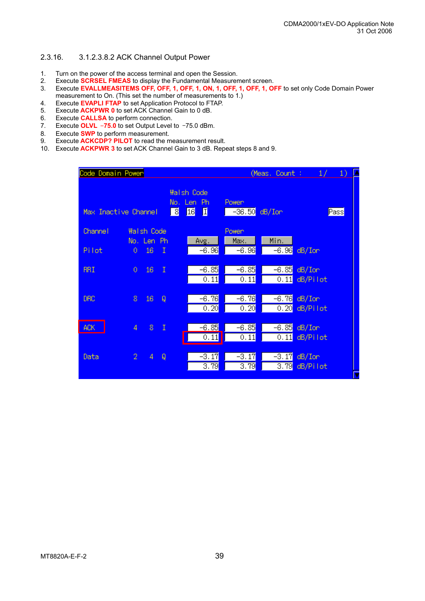#### 2.3.16. 3.1.2.3.8.2 ACK Channel Output Power

- 1. Turn on the power of the access terminal and open the Session.
- 2. Execute **SCRSEL FMEAS** to display the Fundamental Measurement screen.
- 3. Execute **EVALLMEASITEMS OFF, OFF, 1, OFF, 1, ON, 1, OFF, 1, OFF, 1, OFF** to set only Code Domain Power measurement to On. (This set the number of measurements to 1.)
- 4. Execute **EVAPLI FTAP** to set Application Protocol to FTAP.
- 5. Execute **ACKPWR 0** to set ACK Channel Gain to 0 dB.
- 6. Execute **CALLSA** to perform connection.
- 7. Execute **OLVL** –**75.0** to set Output Level to –75.0 dBm.
- 8. Execute **SWP** to perform measurement.
- 9. Execute **ACKCDP? PILOT** to read the measurement result.
- 10. Execute **ACKPWR 3** to set ACK Channel Gain to 3 dB. Repeat steps 8 and 9.

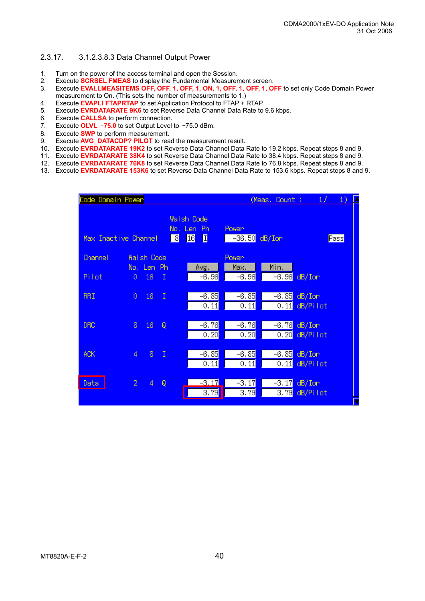#### 2.3.17. 3.1.2.3.8.3 Data Channel Output Power

- 1. Turn on the power of the access terminal and open the Session.
- 2. Execute **SCRSEL FMEAS** to display the Fundamental Measurement screen.
- 3. Execute **EVALLMEASITEMS OFF, OFF, 1, OFF, 1, ON, 1, OFF, 1, OFF, 1, OFF** to set only Code Domain Power measurement to On. (This sets the number of measurements to 1.)
- 4. Execute **EVAPLI FTAPRTAP** to set Application Protocol to FTAP + RTAP.
- 5. Execute **EVRDATARATE 9K6** to set Reverse Data Channel Data Rate to 9.6 kbps.
- 6. Execute **CALLSA** to perform connection.
- 7. Execute **OLVL** –**75.0** to set Output Level to –75.0 dBm.
- 8. Execute **SWP** to perform measurement.
- 9. Execute **AVG\_DATACDP? PILOT** to read the measurement result.
- 10. Execute **EVRDATARATE 19K2** to set Reverse Data Channel Data Rate to 19.2 kbps. Repeat steps 8 and 9.
- 11. Execute **EVRDATARATE 38K4** to set Reverse Data Channel Data Rate to 38.4 kbps. Repeat steps 8 and 9.
- 12. Execute **EVRDATARATE 76K8** to set Reverse Data Channel Data Rate to 76.8 kbps. Repeat steps 8 and 9.
- 13. Execute **EVRDATARATE 153K6** to set Reverse Data Channel Data Rate to 153.6 kbps. Repeat steps 8 and 9.

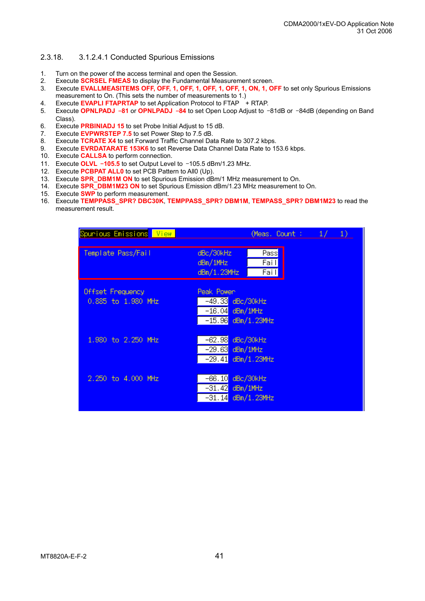#### 2.3.18. 3.1.2.4.1 Conducted Spurious Emissions

- 1. Turn on the power of the access terminal and open the Session.
- 2. Execute **SCRSEL FMEAS** to display the Fundamental Measurement screen.
- 3. Execute **EVALLMEASITEMS OFF, OFF, 1, OFF, 1, OFF, 1, OFF, 1, ON, 1, OFF** to set only Spurious Emissions measurement to On. (This sets the number of measurements to 1.)
- 4. Execute **EVAPLI FTAPRTAP** to set Application Protocol to FTAP + RTAP.
- 5. Execute **OPNLPADJ** –**81** or **OPNLPADJ** –**84** to set Open Loop Adjust to –81dB or –84dB (depending on Band Class).
- 6. Execute **PRBINIADJ 15** to set Probe Initial Adjust to 15 dB.
- 7. Execute **EVPWRSTEP 7.5** to set Power Step to 7.5 dB.<br>8. Execute **TCRATE X4** to set Forward Traffic Channel Da
- Execute **TCRATE X4** to set Forward Traffic Channel Data Rate to 307.2 kbps.
- 9. Execute **EVRDATARATE 153K6** to set Reverse Data Channel Data Rate to 153.6 kbps.
- 10. Execute **CALLSA** to perform connection.
- 11. Execute **OLVL** –**105.5** to set Output Level to –105.5 dBm/1.23 MHz.
- 12. Execute **PCBPAT ALL0** to set PCB Pattern to All0 (Up).
- 13. Execute **SPR\_DBM1M ON** to set Spurious Emission dBm/1 MHz measurement to On.
- 14. Execute **SPR\_DBM1M23 ON** to set Spurious Emission dBm/1.23 MHz measurement to On.
- 15. Execute **SWP** to perform measurement.
- 16. Execute **TEMPPASS\_SPR? DBC30K**, **TEMPPASS\_SPR? DBM1M**, **TEMPASS\_SPR? DBM1M23** to read the measurement result.

| Spunious Emissions View                | (Meas. Count: $1/$<br>1)                                                    |
|----------------------------------------|-----------------------------------------------------------------------------|
| <u>Template Pass/Fail</u>              | $P$ ass<br>dBc/30kHz<br>Fail <br>dBm/1MHz<br>Fail<br>dBn/1.23MHz            |
| Offset Frequency<br>0.885 to 1.980 MHz | Peak Power<br>-49.33 dBc/30kHz<br>$-16.04$ dBm/1MHz<br>$-15.96$ dBm/1.23MHz |
| 1,980 to 2,250 MHz                     | $-62.98$<br>dBc/30kHz<br>$-29.63$ dBm/1MHz<br>$-29.41$ dBm/1.23MHz          |
| 2.250 to 4.000 MHz                     | $-66.10$<br>dBc/30kHz<br>$-31.42$ dBm/1MHz<br>$-31.14$ dBm/1.23MHz          |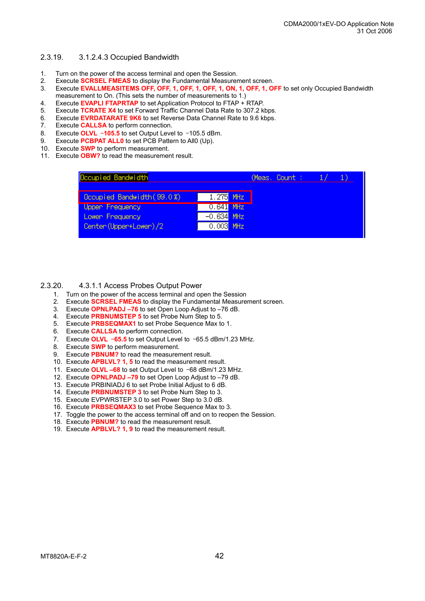#### 2.3.19. 3.1.2.4.3 Occupied Bandwidth

- 1. Turn on the power of the access terminal and open the Session.
- 2. Execute **SCRSEL FMEAS** to display the Fundamental Measurement screen.
- 3. Execute **EVALLMEASITEMS OFF, OFF, 1, OFF, 1, OFF, 1, ON, 1, OFF, 1, OFF** to set only Occupied Bandwidth measurement to On. (This sets the number of measurements to 1.)
- 4. Execute **EVAPLI FTAPRTAP** to set Application Protocol to FTAP + RTAP.
- 5. Execute **TCRATE X4** to set Forward Traffic Channel Data Rate to 307.2 kbps.
- 6. Execute **EVRDATARATE 9K6** to set Reverse Data Channel Rate to 9.6 kbps.
- 7. Execute **CALLSA** to perform connection.<br>8 Execute **OLVL -105.5** to set Output Leve
- 
- 8. Execute **OLVL -105.5** to set Output Level to -105.5 dBm.<br>9. Execute **PCBPAT ALL0** to set PCB Pattern to All0 (Up). Execute **PCBPAT ALL0** to set PCB Pattern to All0 (Up).
- 10. Execute **SWP** to perform measurement.
- 11. Execute **OBW?** to read the measurement result.

| Occupied Bandwidth         |              | (Meas, Count : |  |  |
|----------------------------|--------------|----------------|--|--|
| Occupied Bandwidth (99.0%) | $1.275$ MHz  |                |  |  |
| Uppen Frequency            | $0.641$ MHz  |                |  |  |
| Lowen Frequency            | $-0.634$ MHz |                |  |  |
| Center (Upper+Lower)/2     | $0.003$ MHz  |                |  |  |

#### 2.3.20. 4.3.1.1 Access Probes Output Power

- 1. Turn on the power of the access terminal and open the Session
- 2. Execute **SCRSEL FMEAS** to display the Fundamental Measurement screen.
- 3. Execute **OPNLPADJ –76** to set Open Loop Adjust to –76 dB.
- 4. Execute **PRBNUMSTEP 5** to set Probe Num Step to 5.
- 5. Execute **PRBSEQMAX1** to set Probe Sequence Max to 1.
- 6. Execute **CALLSA** to perform connection.
- 7. Execute **OLVL** –**65.5** to set Output Level to –65.5 dBm/1.23 MHz.
- 8. Execute **SWP** to perform measurement.
- 9. Execute **PBNUM?** to read the measurement result.
- 10. Execute **APBLVL? 1, 5** to read the measurement result.
- 11. Execute **OLVL –68** to set Output Level to –68 dBm/1.23 MHz.
- 12. Execute **OPNLPADJ –79** to set Open Loop Adjust to –79 dB.
- 13. Execute PRBINIADJ 6 to set Probe Initial Adjust to 6 dB.
- 14. Execute **PRBNUMSTEP 3** to set Probe Num Step to 3.
- 15. Execute EVPWRSTEP 3.0 to set Power Step to 3.0 dB.
- 16. Execute **PRBSEQMAX3** to set Probe Sequence Max to 3.
- 17. Toggle the power to the access terminal off and on to reopen the Session.
- 18. Execute **PBNUM?** to read the measurement result.
- 19. Execute **APBLVL? 1, 9** to read the measurement result.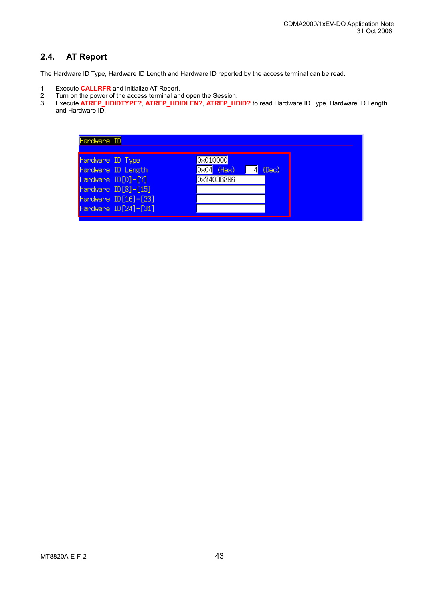## **2.4. AT Report**

The Hardware ID Type, Hardware ID Length and Hardware ID reported by the access terminal can be read.

- 1. Execute **CALLRFR** and initialize AT Report.
- 2. Turn on the power of the access terminal and open the Session.<br>3. Execute ATREP HDIDTYPE? ATREP HDIDLEN? ATREP HD
- 3. Execute **ATREP\_HDIDTYPE?**, **ATREP\_HDIDLEN?**, **ATREP\_HDID?** to read Hardware ID Type, Hardware ID Length and Hardware ID.

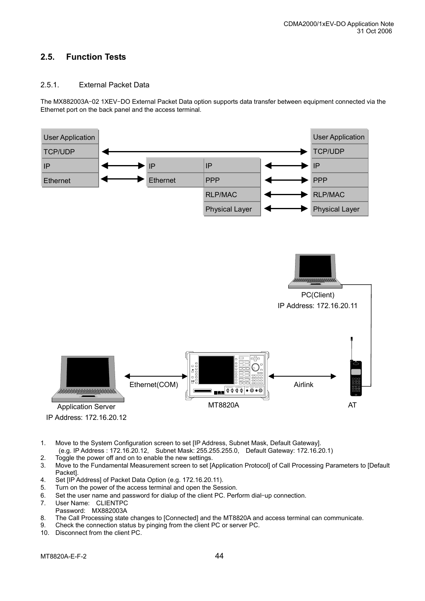## **2.5. Function Tests**

#### 2.5.1. External Packet Data

The MX882003A–02 1XEV–DO External Packet Data option supports data transfer between equipment connected via the Ethernet port on the back panel and the access terminal.



- 1. Move to the System Configuration screen to set [IP Address, Subnet Mask, Default Gateway]. (e.g. IP Address : 172.16.20.12, Subnet Mask: 255.255.255.0, Default Gateway: 172.16.20.1)
- 2. Toggle the power off and on to enable the new settings.
- 3. Move to the Fundamental Measurement screen to set [Application Protocol] of Call Processing Parameters to [Default Packet].
- 4. Set [IP Address] of Packet Data Option (e.g. 172.16.20.11).
- 5. Turn on the power of the access terminal and open the Session.
- 6. Set the user name and password for dialup of the client PC. Perform dial–up connection.
- 7. User Name: CLIENTPC
- Password: MX882003A
- 8. The Call Processing state changes to [Connected] and the MT8820A and access terminal can communicate.
- 9. Check the connection status by pinging from the client PC or server PC.
- 10. Disconnect from the client PC.

MT8820A-E-F-2 44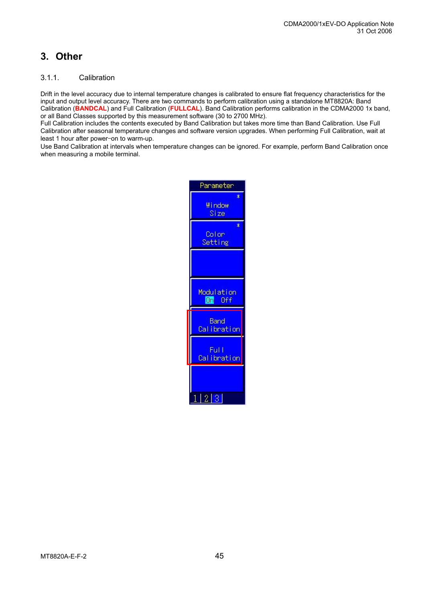## **3. Other**

#### 3.1.1. Calibration

Drift in the level accuracy due to internal temperature changes is calibrated to ensure flat frequency characteristics for the input and output level accuracy. There are two commands to perform calibration using a standalone MT8820A: Band Calibration (**BANDCAL**) and Full Calibration (**FULLCAL**). Band Calibration performs calibration in the CDMA2000 1x band, or all Band Classes supported by this measurement software (30 to 2700 MHz).

Full Calibration includes the contents executed by Band Calibration but takes more time than Band Calibration. Use Full Calibration after seasonal temperature changes and software version upgrades. When performing Full Calibration, wait at least 1 hour after power–on to warm-up.

Use Band Calibration at intervals when temperature changes can be ignored. For example, perform Band Calibration once when measuring a mobile terminal.

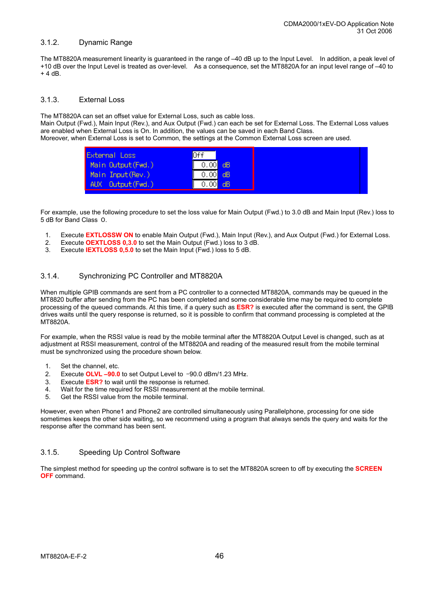#### 3.1.2. Dynamic Range

The MT8820A measurement linearity is guaranteed in the range of –40 dB up to the Input Level. In addition, a peak level of +10 dB over the Input Level is treated as over-level. As a consequence, set the MT8820A for an input level range of –40 to  $+4$  dB.

#### 3.1.3. External Loss

The MT8820A can set an offset value for External Loss, such as cable loss.

Main Output (Fwd.), Main Input (Rev.), and Aux Output (Fwd.) can each be set for External Loss. The External Loss values are enabled when External Loss is On. In addition, the values can be saved in each Band Class. Moreover, when External Loss is set to Common, the settings at the Common External Loss screen are used.

| <b>External Loss</b>  | 0ff                      |
|-----------------------|--------------------------|
| Main Output (Fwd.)    | $\overline{0.00}$<br>dB  |
| Main Input(Rev.)      | $0.\overline{00}$<br>dB. |
| Output (Fwd.)<br>AUX. | 0.00<br>dВ               |

For example, use the following procedure to set the loss value for Main Output (Fwd.) to 3.0 dB and Main Input (Rev.) loss to 5 dB for Band Class 0.

- 1. Execute **EXTLOSSW ON** to enable Main Output (Fwd.), Main Input (Rev.), and Aux Output (Fwd.) for External Loss.
- 2. Execute **OEXTLOSS 0,3.0** to set the Main Output (Fwd.) loss to 3 dB.
- 3. Execute **IEXTLOSS 0,5.0** to set the Main Input (Fwd.) loss to 5 dB.

#### 3.1.4. Synchronizing PC Controller and MT8820A

When multiple GPIB commands are sent from a PC controller to a connected MT8820A, commands may be queued in the MT8820 buffer after sending from the PC has been completed and some considerable time may be required to complete processing of the queued commands. At this time, if a query such as **ESR?** is executed after the command is sent, the GPIB drives waits until the query response is returned, so it is possible to confirm that command processing is completed at the MT8820A.

For example, when the RSSI value is read by the mobile terminal after the MT8820A Output Level is changed, such as at adjustment at RSSI measurement, control of the MT8820A and reading of the measured result from the mobile terminal must be synchronized using the procedure shown below.

- 1. Set the channel, etc.
- 2. Execute **OLVL –90.0** to set Output Level to –90.0 dBm/1.23 MHz.
- 3. Execute **ESR?** to wait until the response is returned.
- 4. Wait for the time required for RSSI measurement at the mobile terminal.
- 5. Get the RSSI value from the mobile terminal.

However, even when Phone1 and Phone2 are controlled simultaneously using Parallelphone, processing for one side sometimes keeps the other side waiting, so we recommend using a program that always sends the query and waits for the response after the command has been sent.

#### 3.1.5. Speeding Up Control Software

The simplest method for speeding up the control software is to set the MT8820A screen to off by executing the **SCREEN OFF** command.